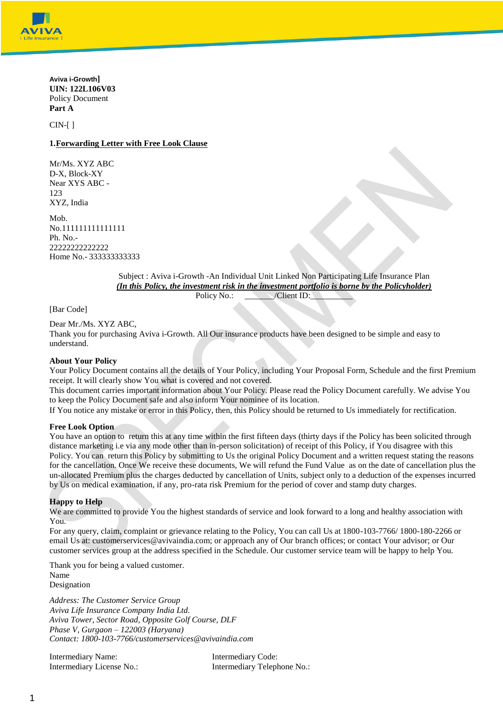

**Aviva i-Growth] UIN: 122L106V03** Policy Document **Part A**

CIN-[ ]

### **1.Forwarding Letter with Free Look Clause**

Mr/Ms. XYZ ABC D-X, Block-XY Near XYS ABC - 123 XYZ, India

Mob. No.111111111111111 Ph.  $No -$ 22222222222222 Home No.- 333333333333

> Subject : Aviva i-Growth -An Individual Unit Linked Non Participating Life Insurance Plan *(In this Policy, the investment risk in the investment portfolio is borne by the Policyholder)* Policy No.:  $\qquad \qquad \text{/Client ID:}$

[Bar Code]

Dear Mr./Ms. XYZ ABC,

Thank you for purchasing Aviva i-Growth. All Our insurance products have been designed to be simple and easy to understand.

#### **About Your Policy**

Your Policy Document contains all the details of Your Policy, including Your Proposal Form, Schedule and the first Premium receipt. It will clearly show You what is covered and not covered.

This document carries important information about Your Policy. Please read the Policy Document carefully. We advise You to keep the Policy Document safe and also inform Your nominee of its location.

If You notice any mistake or error in this Policy, then, this Policy should be returned to Us immediately for rectification.

#### **Free Look Option**

You have an option to return this at any time within the first fifteen days (thirty days if the Policy has been solicited through distance marketing i.e via any mode other than in-person solicitation) of receipt of this Policy, if You disagree with this Policy. You can return this Policy by submitting to Us the original Policy Document and a written request stating the reasons for the cancellation. Once We receive these documents, We will refund the Fund Value as on the date of cancellation plus the un-allocated Premium plus the charges deducted by cancellation of Units, subject only to a deduction of the expenses incurred by Us on medical examination, if any, pro-rata risk Premium for the period of cover and stamp duty charges.

#### **Happy to Help**

We are committed to provide You the highest standards of service and look forward to a long and healthy association with You.

For any query, claim, complaint or grievance relating to the Policy, You can call Us at 1800-103-7766/ 1800-180-2266 or email Us at: customerservices@avivaindia.com; or approach any of Our branch offices; or contact Your advisor; or Our customer services group at the address specified in the Schedule. Our customer service team will be happy to help You.

Thank you for being a valued customer.

Name Designation

*Address: The Customer Service Group Aviva Life Insurance Company India Ltd. Aviva Tower, Sector Road, Opposite Golf Course, DLF Phase V, Gurgaon – 122003 (Haryana) Contact: 1800-103-776[6/customerservices@avivaindia.com](mailto:customerservices@avivaindia.com)*

Intermediary Name: Intermediary Code:

Intermediary License No.: Intermediary Telephone No.: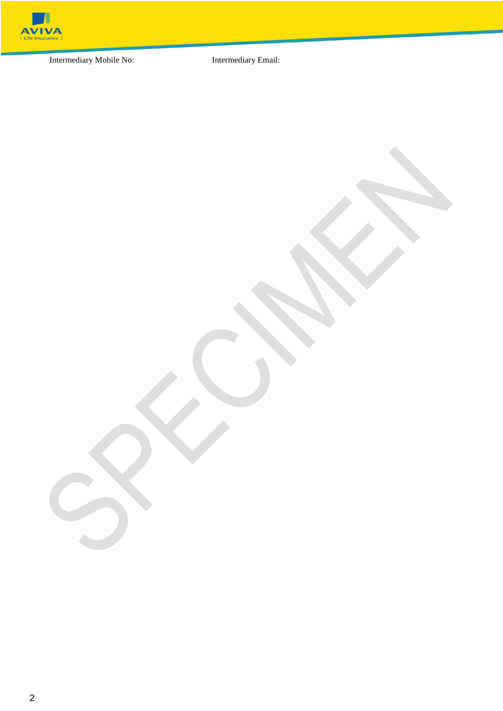

Intermediary Mobile No: Intermediary Email: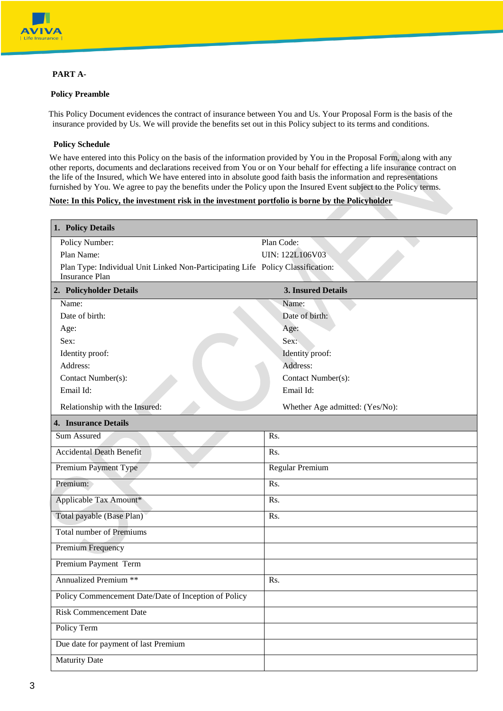

## **PART A-**

### **Policy Preamble**

This Policy Document evidences the contract of insurance between You and Us. Your Proposal Form is the basis of the insurance provided by Us. We will provide the benefits set out in this Policy subject to its terms and conditions.

### **Policy Schedule**

We have entered into this Policy on the basis of the information provided by You in the Proposal Form, along with any other reports, documents and declarations received from You or on Your behalf for effecting a life insurance contract on the life of the Insured, which We have entered into in absolute good faith basis the information and representations furnished by You. We agree to pay the benefits under the Policy upon the Insured Event subject to the Policy terms.

### **Note: In this Policy, the investment risk in the investment portfolio is borne by the Policyholder**

| 1. Policy Details                                                                                        |                                 |
|----------------------------------------------------------------------------------------------------------|---------------------------------|
| Policy Number:                                                                                           | Plan Code:                      |
| Plan Name:                                                                                               | UIN: 122L106V03                 |
| Plan Type: Individual Unit Linked Non-Participating Life Policy Classification:<br><b>Insurance Plan</b> |                                 |
|                                                                                                          |                                 |
| 2. Policyholder Details                                                                                  | 3. Insured Details              |
| Name:                                                                                                    | Name:                           |
| Date of birth:                                                                                           | Date of birth:                  |
| Age:                                                                                                     | Age:                            |
| Sex:<br>Identity proof:                                                                                  | Sex:<br>Identity proof:         |
| Address:                                                                                                 | Address:                        |
| Contact Number(s):                                                                                       | Contact Number(s):              |
| Email Id:                                                                                                | Email Id:                       |
|                                                                                                          |                                 |
| Relationship with the Insured:                                                                           | Whether Age admitted: (Yes/No): |
| <b>4. Insurance Details</b>                                                                              |                                 |
| Sum Assured                                                                                              | Rs.                             |
| <b>Accidental Death Benefit</b>                                                                          | Rs.                             |
| Premium Payment Type                                                                                     | Regular Premium                 |
| Premium:                                                                                                 | Rs.                             |
| Applicable Tax Amount*                                                                                   | Rs.                             |
| Total payable (Base Plan)                                                                                | Rs.                             |
| <b>Total number of Premiums</b>                                                                          |                                 |
| Premium Frequency                                                                                        |                                 |
| Premium Payment Term                                                                                     |                                 |
| <b>Annualized Premium **</b>                                                                             | Rs.                             |
| Policy Commencement Date/Date of Inception of Policy                                                     |                                 |
| <b>Risk Commencement Date</b>                                                                            |                                 |
| Policy Term                                                                                              |                                 |
| Due date for payment of last Premium                                                                     |                                 |
| <b>Maturity Date</b>                                                                                     |                                 |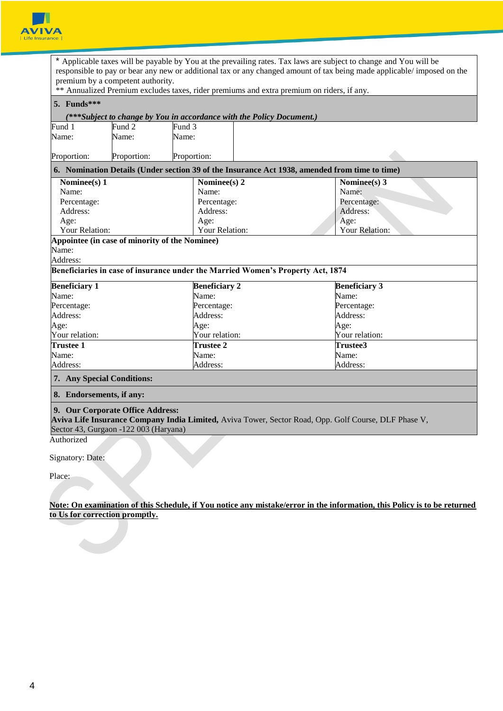

|                                                     |                                   |                      | * Applicable taxes will be payable by You at the prevailing rates. Tax laws are subject to change and You will be<br>responsible to pay or bear any new or additional tax or any changed amount of tax being made applicable/ imposed on the |
|-----------------------------------------------------|-----------------------------------|----------------------|----------------------------------------------------------------------------------------------------------------------------------------------------------------------------------------------------------------------------------------------|
|                                                     | premium by a competent authority. |                      |                                                                                                                                                                                                                                              |
|                                                     |                                   |                      | ** Annualized Premium excludes taxes, rider premiums and extra premium on riders, if any.                                                                                                                                                    |
| 5. Funds***                                         |                                   |                      |                                                                                                                                                                                                                                              |
|                                                     |                                   |                      | (***Subject to change by You in accordance with the Policy Document.)                                                                                                                                                                        |
| Fund 1                                              | Fund 2                            | Fund 3               |                                                                                                                                                                                                                                              |
| Name:                                               | Name:                             | Name:                |                                                                                                                                                                                                                                              |
|                                                     |                                   |                      |                                                                                                                                                                                                                                              |
| Proportion:                                         | Proportion:                       | Proportion:          |                                                                                                                                                                                                                                              |
|                                                     |                                   |                      | 6. Nomination Details (Under section 39 of the Insurance Act 1938, amended from time to time)                                                                                                                                                |
| Nominee(s) 1                                        |                                   | Nominee(s) $2$       | Nominee(s) $3$                                                                                                                                                                                                                               |
| Name:                                               |                                   | Name:                | Name:                                                                                                                                                                                                                                        |
| Percentage:                                         |                                   | Percentage:          | Percentage:                                                                                                                                                                                                                                  |
| Address:                                            |                                   | Address:             | Address:                                                                                                                                                                                                                                     |
| Age:                                                |                                   | Age:                 | Age:                                                                                                                                                                                                                                         |
| Your Relation:                                      |                                   | Your Relation:       | Your Relation:                                                                                                                                                                                                                               |
| Appointee (in case of minority of the Nominee)      |                                   |                      |                                                                                                                                                                                                                                              |
| Name:                                               |                                   |                      |                                                                                                                                                                                                                                              |
| Address:                                            |                                   |                      |                                                                                                                                                                                                                                              |
|                                                     |                                   |                      | Beneficiaries in case of insurance under the Married Women's Property Act, 1874                                                                                                                                                              |
| <b>Beneficiary 1</b>                                |                                   | <b>Beneficiary 2</b> | <b>Beneficiary 3</b>                                                                                                                                                                                                                         |
| Name:                                               |                                   | Name:                | Name:                                                                                                                                                                                                                                        |
| Percentage:                                         |                                   | Percentage:          | Percentage:                                                                                                                                                                                                                                  |
| Address:                                            |                                   | Address:             | Address:                                                                                                                                                                                                                                     |
| Age:                                                |                                   | Age:                 | Age:                                                                                                                                                                                                                                         |
| Your relation:                                      |                                   | Your relation:       | Your relation:                                                                                                                                                                                                                               |
| <b>Trustee 1</b>                                    |                                   | <b>Trustee 2</b>     | Trustee3                                                                                                                                                                                                                                     |
| Name:                                               |                                   | Name:                | Name:                                                                                                                                                                                                                                        |
| Address:                                            |                                   | Address:             | Address:                                                                                                                                                                                                                                     |
| 7. Any Special Conditions:                          |                                   |                      |                                                                                                                                                                                                                                              |
| 8. Endorsements, if any:                            |                                   |                      |                                                                                                                                                                                                                                              |
| Sector 43, Gurgaon -122 003 (Haryana)<br>Authorized | 9. Our Corporate Office Address:  |                      | Aviva Life Insurance Company India Limited, Aviva Tower, Sector Road, Opp. Golf Course, DLF Phase V,                                                                                                                                         |
|                                                     |                                   |                      |                                                                                                                                                                                                                                              |
|                                                     |                                   |                      |                                                                                                                                                                                                                                              |

Place:

**Note: On examination of this Schedule, if You notice any mistake/error in the information, this Policy is to be returned to Us for correction promptly.**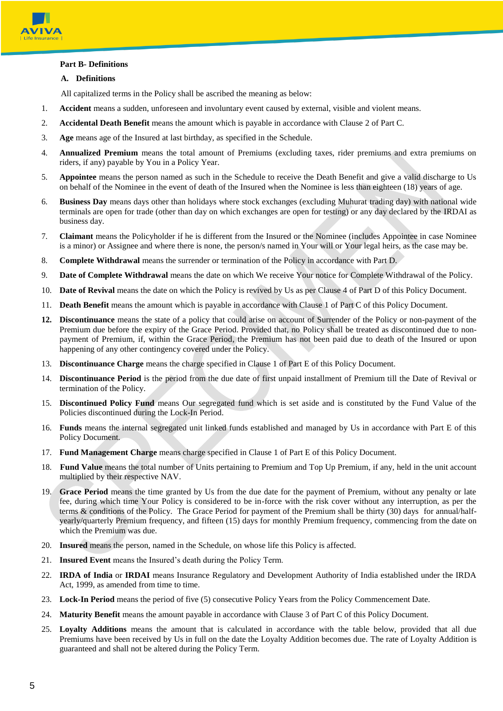

## **Part B- Definitions**

### **A. Definitions**

All capitalized terms in the Policy shall be ascribed the meaning as below:

- 1. **Accident** means a sudden, unforeseen and involuntary event caused by external, visible and violent means.
- 2. **Accidental Death Benefit** means the amount which is payable in accordance with Clause 2 of Part C.
- 3. **Age** means age of the Insured at last birthday, as specified in the Schedule.
- 4. **Annualized Premium** means the total amount of Premiums (excluding taxes, rider premiums and extra premiums on riders, if any) payable by You in a Policy Year.
- 5. **Appointee** means the person named as such in the Schedule to receive the Death Benefit and give a valid discharge to Us on behalf of the Nominee in the event of death of the Insured when the Nominee is less than eighteen (18) years of age.
- 6. **Business Day** means days other than holidays where stock exchanges (excluding Muhurat trading day) with national wide terminals are open for trade (other than day on which exchanges are open for testing) or any day declared by the IRDAI as business day.
- 7. **Claimant** means the Policyholder if he is different from the Insured or the Nominee (includes Appointee in case Nominee is a minor) or Assignee and where there is none, the person/s named in Your will or Your legal heirs, as the case may be.
- 8. **Complete Withdrawal** means the surrender or termination of the Policy in accordance with Part D.
- 9. **Date of Complete Withdrawal** means the date on which We receive Your notice for Complete Withdrawal of the Policy.
- 10. **Date of Revival** means the date on which the Policy is revived by Us as per Clause 4 of Part D of this Policy Document.
- 11. **Death Benefit** means the amount which is payable in accordance with Clause 1 of Part C of this Policy Document.
- **12. Discontinuance** means the state of a policy that could arise on account of Surrender of the Policy or non-payment of the Premium due before the expiry of the Grace Period. Provided that, no Policy shall be treated as discontinued due to nonpayment of Premium, if, within the Grace Period, the Premium has not been paid due to death of the Insured or upon happening of any other contingency covered under the Policy.
- 13. **Discontinuance Charge** means the charge specified in Clause 1 of Part E of this Policy Document.
- 14. **Discontinuance Period** is the period from the due date of first unpaid installment of Premium till the Date of Revival or termination of the Policy.
- 15. **Discontinued Policy Fund** means Our segregated fund which is set aside and is constituted by the Fund Value of the Policies discontinued during the Lock-In Period.
- 16. **Funds** means the internal segregated unit linked funds established and managed by Us in accordance with Part E of this Policy Document.
- 17. **Fund Management Charge** means charge specified in Clause 1 of Part E of this Policy Document.
- 18. **Fund Value** means the total number of Units pertaining to Premium and Top Up Premium, if any, held in the unit account multiplied by their respective NAV.
- 19. **Grace Period** means the time granted by Us from the due date for the payment of Premium, without any penalty or late fee, during which time Your Policy is considered to be in-force with the risk cover without any interruption, as per the terms & conditions of the Policy. The Grace Period for payment of the Premium shall be thirty (30) days for annual/halfyearly/quarterly Premium frequency, and fifteen (15) days for monthly Premium frequency, commencing from the date on which the Premium was due.
- 20. **Insured** means the person, named in the Schedule, on whose life this Policy is affected.
- 21. **Insured Event** means the Insured's death during the Policy Term.
- 22. **IRDA of India** or **IRDAI** means Insurance Regulatory and Development Authority of India established under the IRDA Act, 1999, as amended from time to time.
- 23. **Lock-In Period** means the period of five (5) consecutive Policy Years from the Policy Commencement Date.
- 24. **Maturity Benefit** means the amount payable in accordance with Clause 3 of Part C of this Policy Document.
- 25. **Loyalty Additions** means the amount that is calculated in accordance with the table below, provided that all due Premiums have been received by Us in full on the date the Loyalty Addition becomes due. The rate of Loyalty Addition is guaranteed and shall not be altered during the Policy Term.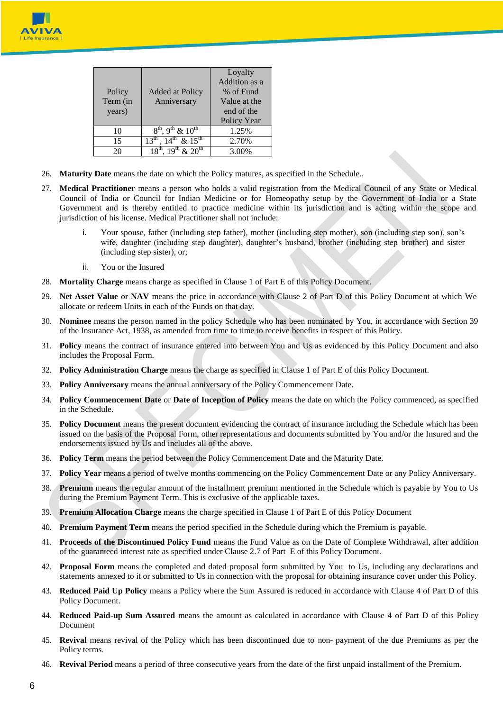

| Policy<br>Term (in<br>years) | Added at Policy<br>Anniversary                         | Loyalty<br>Addition as a<br>% of Fund<br>Value at the<br>end of the<br>Policy Year |
|------------------------------|--------------------------------------------------------|------------------------------------------------------------------------------------|
| 10                           | $8^{th}$ , 9 <sup>th</sup> & 10 <sup>th</sup>          | 1.25%                                                                              |
| 15                           | $14^{th}$ & $15^{th}$<br>$13^{\text{th}}$              | 2.70%                                                                              |
| 20                           | $18^{\text{th}}$ , $19^{\text{th}}$ & $20^{\text{th}}$ | 3.00%                                                                              |

- 26. **Maturity Date** means the date on which the Policy matures, as specified in the Schedule..
- 27. **Medical Practitioner** means a person who holds a valid registration from the Medical Council of any State or Medical Council of India or Council for Indian Medicine or for Homeopathy setup by the Government of India or a State Government and is thereby entitled to practice medicine within its jurisdiction and is acting within the scope and jurisdiction of his license. Medical Practitioner shall not include:
	- i. Your spouse, father (including step father), mother (including step mother), son (including step son), son's wife, daughter (including step daughter), daughter's husband, brother (including step brother) and sister (including step sister), or;
	- ii. You or the Insured
- 28. **Mortality Charge** means charge as specified in Clause 1 of Part E of this Policy Document.
- 29. **Net Asset Value** or **NAV** means the price in accordance with Clause 2 of Part D of this Policy Document at which We allocate or redeem Units in each of the Funds on that day.
- 30. **Nominee** means the person named in the policy Schedule who has been nominated by You, in accordance with Section 39 of the Insurance Act, 1938, as amended from time to time to receive benefits in respect of this Policy.
- 31. **Policy** means the contract of insurance entered into between You and Us as evidenced by this Policy Document and also includes the Proposal Form.
- 32. **Policy Administration Charge** means the charge as specified in Clause 1 of Part E of this Policy Document.
- 33. **Policy Anniversary** means the annual anniversary of the Policy Commencement Date.
- 34. **Policy Commencement Date** or **Date of Inception of Policy** means the date on which the Policy commenced, as specified in the Schedule.
- 35. **Policy Document** means the present document evidencing the contract of insurance including the Schedule which has been issued on the basis of the Proposal Form, other representations and documents submitted by You and/or the Insured and the endorsements issued by Us and includes all of the above.
- 36. **Policy Term** means the period between the Policy Commencement Date and the Maturity Date.
- 37. **Policy Year** means a period of twelve months commencing on the Policy Commencement Date or any Policy Anniversary.
- 38. **Premium** means the regular amount of the installment premium mentioned in the Schedule which is payable by You to Us during the Premium Payment Term. This is exclusive of the applicable taxes.
- 39. **Premium Allocation Charge** means the charge specified in Clause 1 of Part E of this Policy Document
- 40. **Premium Payment Term** means the period specified in the Schedule during which the Premium is payable.
- 41. **Proceeds of the Discontinued Policy Fund** means the Fund Value as on the Date of Complete Withdrawal, after addition of the guaranteed interest rate as specified under Clause 2.7 of Part E of this Policy Document.
- 42. **Proposal Form** means the completed and dated proposal form submitted by You to Us, including any declarations and statements annexed to it or submitted to Us in connection with the proposal for obtaining insurance cover under this Policy.
- 43. **Reduced Paid Up Policy** means a Policy where the Sum Assured is reduced in accordance with Clause 4 of Part D of this Policy Document.
- 44. **Reduced Paid-up Sum Assured** means the amount as calculated in accordance with Clause 4 of Part D of this Policy Document
- 45. **Revival** means revival of the Policy which has been discontinued due to non- payment of the due Premiums as per the Policy terms.
- 46. **Revival Period** means a period of three consecutive years from the date of the first unpaid installment of the Premium.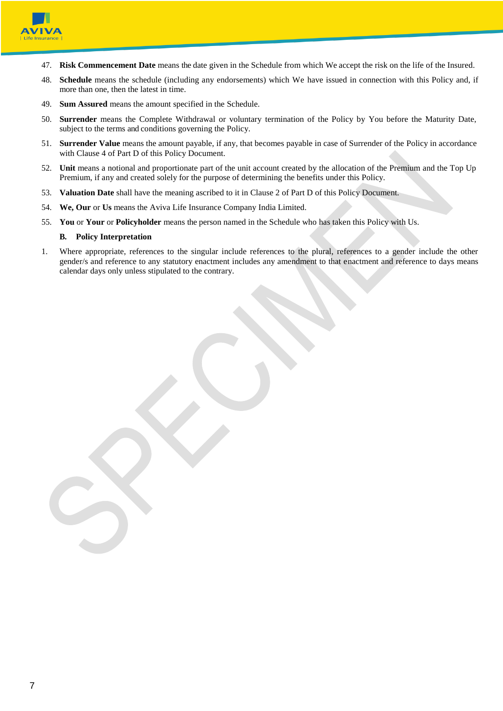

- 47. **Risk Commencement Date** means the date given in the Schedule from which We accept the risk on the life of the Insured.
- 48. **Schedule** means the schedule (including any endorsements) which We have issued in connection with this Policy and, if more than one, then the latest in time.
- 49. **Sum Assured** means the amount specified in the Schedule.
- 50. **Surrender** means the Complete Withdrawal or voluntary termination of the Policy by You before the Maturity Date, subject to the terms and conditions governing the Policy.
- 51. **Surrender Value** means the amount payable, if any, that becomes payable in case of Surrender of the Policy in accordance with Clause 4 of Part D of this Policy Document.
- 52. **Unit** means a notional and proportionate part of the unit account created by the allocation of the Premium and the Top Up Premium, if any and created solely for the purpose of determining the benefits under this Policy.
- 53. **Valuation Date** shall have the meaning ascribed to it in Clause 2 of Part D of this Policy Document.
- 54. **We, Our** or **Us** means the Aviva Life Insurance Company India Limited.
- 55. **You** or **Your** or **Policyholder** means the person named in the Schedule who has taken this Policy with Us.

#### **B. Policy Interpretation**

1. Where appropriate, references to the singular include references to the plural, references to a gender include the other gender/s and reference to any statutory enactment includes any amendment to that enactment and reference to days means calendar days only unless stipulated to the contrary.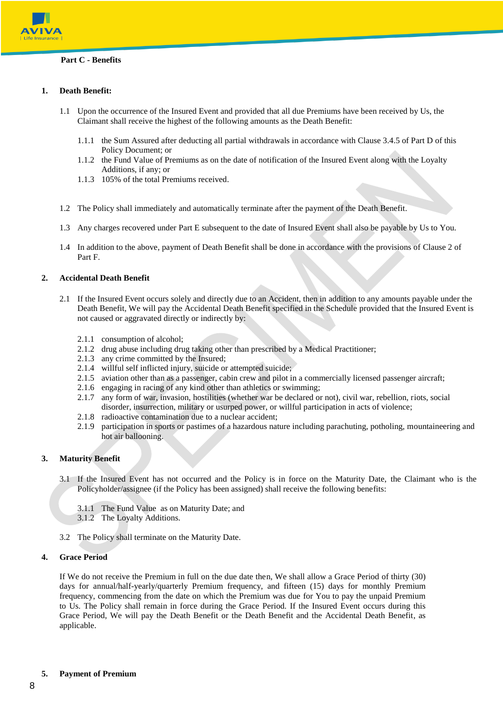

## **1. Death Benefit:**

- 1.1 Upon the occurrence of the Insured Event and provided that all due Premiums have been received by Us, the Claimant shall receive the highest of the following amounts as the Death Benefit:
	- 1.1.1 the Sum Assured after deducting all partial withdrawals in accordance with Clause 3.4.5 of Part D of this Policy Document; or
	- 1.1.2 the Fund Value of Premiums as on the date of notification of the Insured Event along with the Loyalty Additions, if any; or
	- 1.1.3 105% of the total Premiums received.
- 1.2 The Policy shall immediately and automatically terminate after the payment of the Death Benefit.
- 1.3 Any charges recovered under Part E subsequent to the date of Insured Event shall also be payable by Us to You.
- 1.4 In addition to the above, payment of Death Benefit shall be done in accordance with the provisions of Clause 2 of Part F.

### **2. Accidental Death Benefit**

- 2.1 If the Insured Event occurs solely and directly due to an Accident, then in addition to any amounts payable under the Death Benefit, We will pay the Accidental Death Benefit specified in the Schedule provided that the Insured Event is not caused or aggravated directly or indirectly by:
	- 2.1.1 consumption of alcohol;
	- 2.1.2 drug abuse including drug taking other than prescribed by a Medical Practitioner;
	- 2.1.3 any crime committed by the Insured;
	- 2.1.4 willful self inflicted injury, suicide or attempted suicide;
	- 2.1.5 aviation other than as a passenger, cabin crew and pilot in a commercially licensed passenger aircraft;
	- 2.1.6 engaging in racing of any kind other than athletics or swimming;
	- 2.1.7 any form of war, invasion, hostilities (whether war be declared or not), civil war, rebellion, riots, social disorder, insurrection, military or usurped power, or willful participation in acts of violence;
	- 2.1.8 radioactive contamination due to a nuclear accident;
	- 2.1.9 participation in sports or pastimes of a hazardous nature including parachuting, potholing, mountaineering and hot air ballooning.

### **3. Maturity Benefit**

- 3.1 If the Insured Event has not occurred and the Policy is in force on the Maturity Date, the Claimant who is the Policyholder/assignee (if the Policy has been assigned) shall receive the following benefits:
	- 3.1.1 The Fund Value as on Maturity Date; and
	- 3.1.2 The Loyalty Additions.
- 3.2 The Policy shall terminate on the Maturity Date.

#### **4. Grace Period**

If We do not receive the Premium in full on the due date then, We shall allow a Grace Period of thirty (30) days for annual/half-yearly/quarterly Premium frequency, and fifteen (15) days for monthly Premium frequency, commencing from the date on which the Premium was due for You to pay the unpaid Premium to Us. The Policy shall remain in force during the Grace Period. If the Insured Event occurs during this Grace Period, We will pay the Death Benefit or the Death Benefit and the Accidental Death Benefit, as applicable.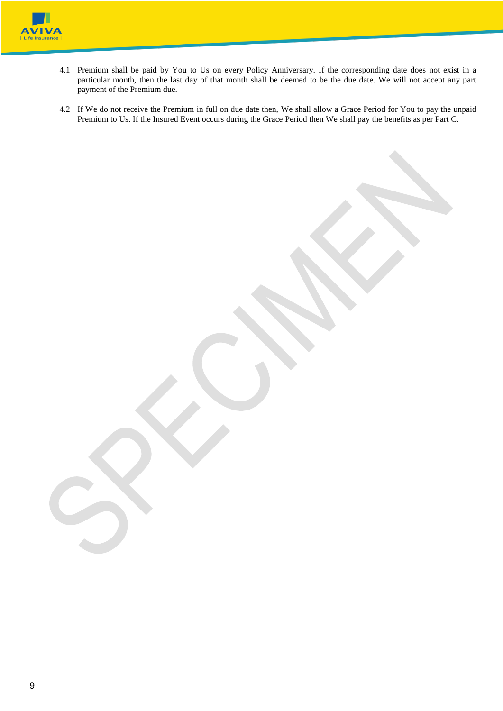

- 4.1 Premium shall be paid by You to Us on every Policy Anniversary. If the corresponding date does not exist in a particular month, then the last day of that month shall be deemed to be the due date. We will not accept any part payment of the Premium due.
- 4.2 If We do not receive the Premium in full on due date then, We shall allow a Grace Period for You to pay the unpaid Premium to Us. If the Insured Event occurs during the Grace Period then We shall pay the benefits as per Part C.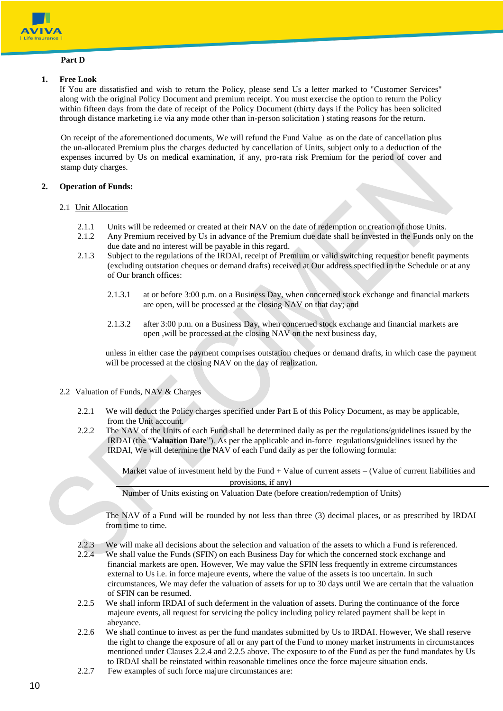

## **Part D**

### **1. Free Look**

If You are dissatisfied and wish to return the Policy, please send Us a letter marked to "Customer Services" along with the original Policy Document and premium receipt. You must exercise the option to return the Policy within fifteen days from the date of receipt of the Policy Document (thirty days if the Policy has been solicited through distance marketing i.e via any mode other than in-person solicitation ) stating reasons for the return.

On receipt of the aforementioned documents, We will refund the Fund Value as on the date of cancellation plus the un-allocated Premium plus the charges deducted by cancellation of Units, subject only to a deduction of the expenses incurred by Us on medical examination, if any, pro-rata risk Premium for the period of cover and stamp duty charges.

### **2. Operation of Funds:**

#### 2.1 Unit Allocation

- 2.1.1 Units will be redeemed or created at their NAV on the date of redemption or creation of those Units.
- 2.1.2 Any Premium received by Us in advance of the Premium due date shall be invested in the Funds only on the due date and no interest will be payable in this regard.
- 2.1.3 Subject to the regulations of the IRDAI, receipt of Premium or valid switching request or benefit payments (excluding outstation cheques or demand drafts) received at Our address specified in the Schedule or at any of Our branch offices:
	- 2.1.3.1 at or before 3:00 p.m. on a Business Day, when concerned stock exchange and financial markets are open, will be processed at the closing NAV on that day; and
	- 2.1.3.2 after 3:00 p.m. on a Business Day, when concerned stock exchange and financial markets are open ,will be processed at the closing NAV on the next business day,

unless in either case the payment comprises outstation cheques or demand drafts, in which case the payment will be processed at the closing NAV on the day of realization.

## 2.2 Valuation of Funds, NAV & Charges

- 2.2.1 We will deduct the Policy charges specified under Part E of this Policy Document, as may be applicable, from the Unit account.
- 2.2.2 The NAV of the Units of each Fund shall be determined daily as per the regulations/guidelines issued by the IRDAI (the "**Valuation Date**"). As per the applicable and in-force regulations/guidelines issued by the IRDAI, We will determine the NAV of each Fund daily as per the following formula:

Market value of investment held by the Fund  $+$  Value of current assets  $-$  (Value of current liabilities and provisions, if any)

Number of Units existing on Valuation Date (before creation/redemption of Units)

The NAV of a Fund will be rounded by not less than three (3) decimal places, or as prescribed by IRDAI from time to time.

- 2.2.3 We will make all decisions about the selection and valuation of the assets to which a Fund is referenced.
- 2.2.4 We shall value the Funds (SFIN) on each Business Day for which the concerned stock exchange and financial markets are open. However, We may value the SFIN less frequently in extreme circumstances external to Us i.e. in force majeure events, where the value of the assets is too uncertain. In such circumstances, We may defer the valuation of assets for up to 30 days until We are certain that the valuation of SFIN can be resumed.
- 2.2.5 We shall inform IRDAI of such deferment in the valuation of assets. During the continuance of the force majeure events, all request for servicing the policy including policy related payment shall be kept in abeyance.
- 2.2.6 We shall continue to invest as per the fund mandates submitted by Us to IRDAI. However, We shall reserve the right to change the exposure of all or any part of the Fund to money market instruments in circumstances mentioned under Clauses 2.2.4 and 2.2.5 above. The exposure to of the Fund as per the fund mandates by Us to IRDAI shall be reinstated within reasonable timelines once the force majeure situation ends.
- 2.2.7 Few examples of such force majure circumstances are: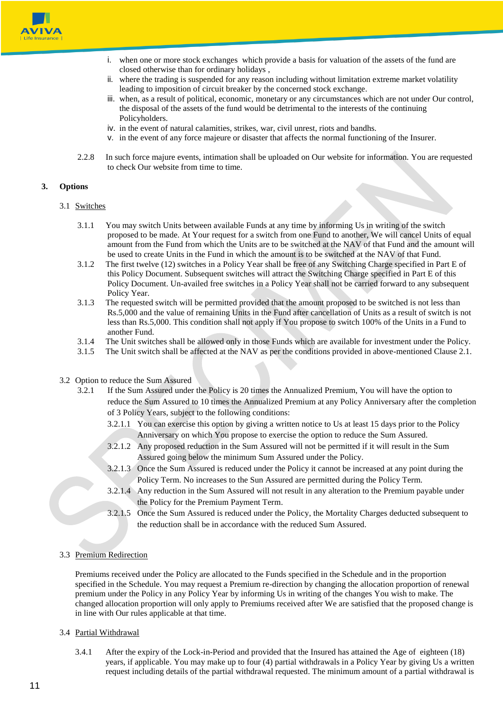

- i. when one or more stock exchanges which provide a basis for valuation of the assets of the fund are closed otherwise than for ordinary holidays ,
- ii. where the trading is suspended for any reason including without limitation extreme market volatility leading to imposition of circuit breaker by the concerned stock exchange.
- iii. when, as a result of political, economic, monetary or any circumstances which are not under Our control, the disposal of the assets of the fund would be detrimental to the interests of the continuing Policyholders.
- iv. in the event of natural calamities, strikes, war, civil unrest, riots and bandhs.
- v. in the event of any force majeure or disaster that affects the normal functioning of the Insurer.
- 2.2.8 In such force majure events, intimation shall be uploaded on Our website for information. You are requested to check Our website from time to time.

#### **3. Options**

#### 3.1 Switches

- 3.1.1 You may switch Units between available Funds at any time by informing Us in writing of the switch proposed to be made. At Your request for a switch from one Fund to another, We will cancel Units of equal amount from the Fund from which the Units are to be switched at the NAV of that Fund and the amount will be used to create Units in the Fund in which the amount is to be switched at the NAV of that Fund.
- 3.1.2 The first twelve (12) switches in a Policy Year shall be free of any Switching Charge specified in Part E of this Policy Document. Subsequent switches will attract the Switching Charge specified in Part E of this Policy Document. Un-availed free switches in a Policy Year shall not be carried forward to any subsequent Policy Year.
- 3.1.3 The requested switch will be permitted provided that the amount proposed to be switched is not less than Rs.5,000 and the value of remaining Units in the Fund after cancellation of Units as a result of switch is not less than Rs.5,000. This condition shall not apply if You propose to switch 100% of the Units in a Fund to another Fund.
- 3.1.4 The Unit switches shall be allowed only in those Funds which are available for investment under the Policy.
- 3.1.5 The Unit switch shall be affected at the NAV as per the conditions provided in above-mentioned Clause 2.1.
- 3.2 Option to reduce the Sum Assured
	- 3.2.1 If the Sum Assured under the Policy is 20 times the Annualized Premium, You will have the option to reduce the Sum Assured to 10 times the Annualized Premium at any Policy Anniversary after the completion of 3 Policy Years, subject to the following conditions:
		- 3.2.1.1 You can exercise this option by giving a written notice to Us at least 15 days prior to the Policy Anniversary on which You propose to exercise the option to reduce the Sum Assured.
		- 3.2.1.2 Any proposed reduction in the Sum Assured will not be permitted if it will result in the Sum Assured going below the minimum Sum Assured under the Policy.
		- 3.2.1.3 Once the Sum Assured is reduced under the Policy it cannot be increased at any point during the Policy Term. No increases to the Sun Assured are permitted during the Policy Term.
		- 3.2.1.4 Any reduction in the Sum Assured will not result in any alteration to the Premium payable under the Policy for the Premium Payment Term.
		- 3.2.1.5 Once the Sum Assured is reduced under the Policy, the Mortality Charges deducted subsequent to the reduction shall be in accordance with the reduced Sum Assured.

### 3.3 Premium Redirection

Premiums received under the Policy are allocated to the Funds specified in the Schedule and in the proportion specified in the Schedule. You may request a Premium re-direction by changing the allocation proportion of renewal premium under the Policy in any Policy Year by informing Us in writing of the changes You wish to make. The changed allocation proportion will only apply to Premiums received after We are satisfied that the proposed change is in line with Our rules applicable at that time.

#### 3.4 Partial Withdrawal

3.4.1 After the expiry of the Lock-in-Period and provided that the Insured has attained the Age of eighteen (18) years, if applicable. You may make up to four (4) partial withdrawals in a Policy Year by giving Us a written request including details of the partial withdrawal requested. The minimum amount of a partial withdrawal is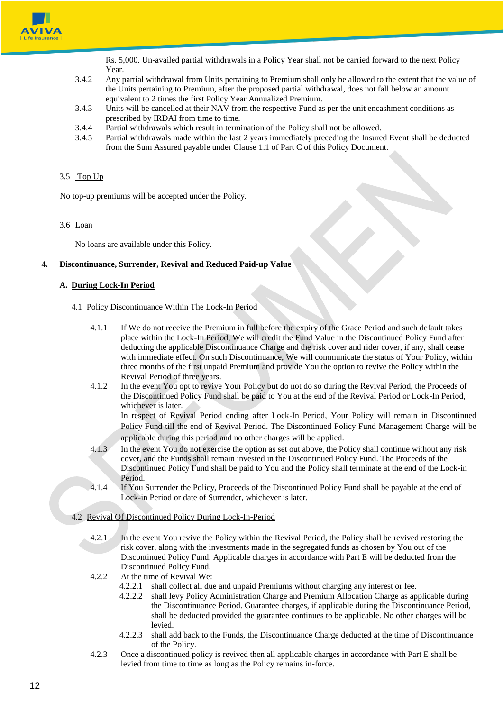

Rs. 5,000. Un-availed partial withdrawals in a Policy Year shall not be carried forward to the next Policy Year.

- 3.4.2 Any partial withdrawal from Units pertaining to Premium shall only be allowed to the extent that the value of the Units pertaining to Premium, after the proposed partial withdrawal, does not fall below an amount equivalent to 2 times the first Policy Year Annualized Premium.
- 3.4.3 Units will be cancelled at their NAV from the respective Fund as per the unit encashment conditions as prescribed by IRDAI from time to time.
- 3.4.4 Partial withdrawals which result in termination of the Policy shall not be allowed.
- 3.4.5 Partial withdrawals made within the last 2 years immediately preceding the Insured Event shall be deducted from the Sum Assured payable under Clause 1.1 of Part C of this Policy Document.

#### 3.5 Top Up

No top-up premiums will be accepted under the Policy.

#### 3.6 Loan

No loans are available under this Policy**.**

#### **4. Discontinuance, Surrender, Revival and Reduced Paid-up Value**

#### **A. During Lock-In Period**

#### 4.1 Policy Discontinuance Within The Lock-In Period

- 4.1.1 If We do not receive the Premium in full before the expiry of the Grace Period and such default takes place within the Lock-In Period, We will credit the Fund Value in the Discontinued Policy Fund after deducting the applicable Discontinuance Charge and the risk cover and rider cover, if any, shall cease with immediate effect. On such Discontinuance, We will communicate the status of Your Policy, within three months of the first unpaid Premium and provide You the option to revive the Policy within the Revival Period of three years.
- 4.1.2 In the event You opt to revive Your Policy but do not do so during the Revival Period, the Proceeds of the Discontinued Policy Fund shall be paid to You at the end of the Revival Period or Lock-In Period, whichever is later.

In respect of Revival Period ending after Lock-In Period, Your Policy will remain in Discontinued Policy Fund till the end of Revival Period. The Discontinued Policy Fund Management Charge will be applicable during this period and no other charges will be applied.

- 4.1.3 In the event You do not exercise the option as set out above, the Policy shall continue without any risk cover, and the Funds shall remain invested in the Discontinued Policy Fund. The Proceeds of the Discontinued Policy Fund shall be paid to You and the Policy shall terminate at the end of the Lock-in Period.
- 4.1.4 If You Surrender the Policy, Proceeds of the Discontinued Policy Fund shall be payable at the end of Lock-in Period or date of Surrender, whichever is later.

#### 4.2 Revival Of Discontinued Policy During Lock-In-Period

- 4.2.1 In the event You revive the Policy within the Revival Period, the Policy shall be revived restoring the risk cover, along with the investments made in the segregated funds as chosen by You out of the Discontinued Policy Fund. Applicable charges in accordance with Part E will be deducted from the Discontinued Policy Fund.
- 4.2.2 At the time of Revival We:
	- 4.2.2.1 shall collect all due and unpaid Premiums without charging any interest or fee.
	- 4.2.2.2 shall levy Policy Administration Charge and Premium Allocation Charge as applicable during the Discontinuance Period. Guarantee charges, if applicable during the Discontinuance Period, shall be deducted provided the guarantee continues to be applicable. No other charges will be levied.
	- 4.2.2.3 shall add back to the Funds, the Discontinuance Charge deducted at the time of Discontinuance of the Policy.
- 4.2.3 Once a discontinued policy is revived then all applicable charges in accordance with Part E shall be levied from time to time as long as the Policy remains in-force.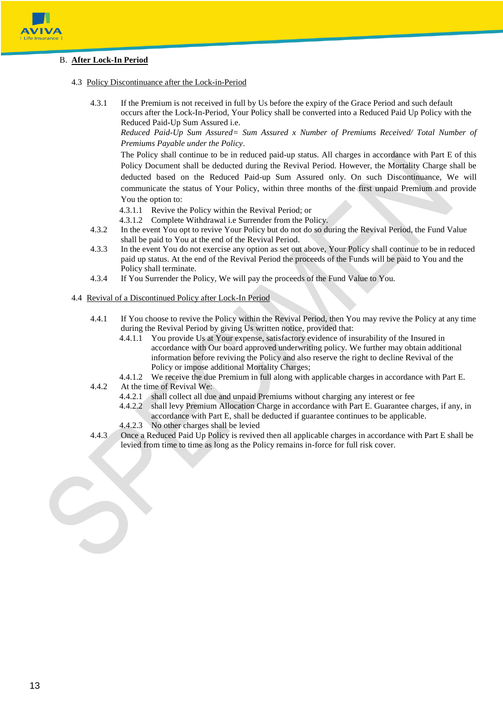

## B. **After Lock-In Period**

- 4.3 Policy Discontinuance after the Lock-in-Period
	- 4.3.1 If the Premium is not received in full by Us before the expiry of the Grace Period and such default occurs after the Lock-In-Period, Your Policy shall be converted into a Reduced Paid Up Policy with the Reduced Paid-Up Sum Assured i.e.

*Reduced Paid-Up Sum Assured= Sum Assured x Number of Premiums Received/ Total Number of Premiums Payable under the Policy*.

The Policy shall continue to be in reduced paid-up status. All charges in accordance with Part E of this Policy Document shall be deducted during the Revival Period. However, the Mortality Charge shall be deducted based on the Reduced Paid-up Sum Assured only. On such Discontinuance, We will communicate the status of Your Policy, within three months of the first unpaid Premium and provide You the option to:

- 4.3.1.1 Revive the Policy within the Revival Period; or
- 4.3.1.2 Complete Withdrawal i.e Surrender from the Policy.
- 4.3.2 In the event You opt to revive Your Policy but do not do so during the Revival Period, the Fund Value shall be paid to You at the end of the Revival Period.
- 4.3.3 In the event You do not exercise any option as set out above, Your Policy shall continue to be in reduced paid up status. At the end of the Revival Period the proceeds of the Funds will be paid to You and the Policy shall terminate.
- 4.3.4 If You Surrender the Policy, We will pay the proceeds of the Fund Value to You.
- 4.4 Revival of a Discontinued Policy after Lock-In Period
	- 4.4.1 If You choose to revive the Policy within the Revival Period, then You may revive the Policy at any time during the Revival Period by giving Us written notice, provided that:
		- 4.4.1.1 You provide Us at Your expense, satisfactory evidence of insurability of the Insured in accordance with Our board approved underwriting policy. We further may obtain additional information before reviving the Policy and also reserve the right to decline Revival of the Policy or impose additional Mortality Charges;
		- 4.4.1.2 We receive the due Premium in full along with applicable charges in accordance with Part E.
	- 4.4.2 At the time of Revival We:
		- 4.4.2.1 shall collect all due and unpaid Premiums without charging any interest or fee
		- 4.4.2.2 shall levy Premium Allocation Charge in accordance with Part E. Guarantee charges, if any, in accordance with Part E, shall be deducted if guarantee continues to be applicable.
		- 4.4.2.3 No other charges shall be levied
	- 4.4.3 Once a Reduced Paid Up Policy is revived then all applicable charges in accordance with Part E shall be levied from time to time as long as the Policy remains in-force for full risk cover.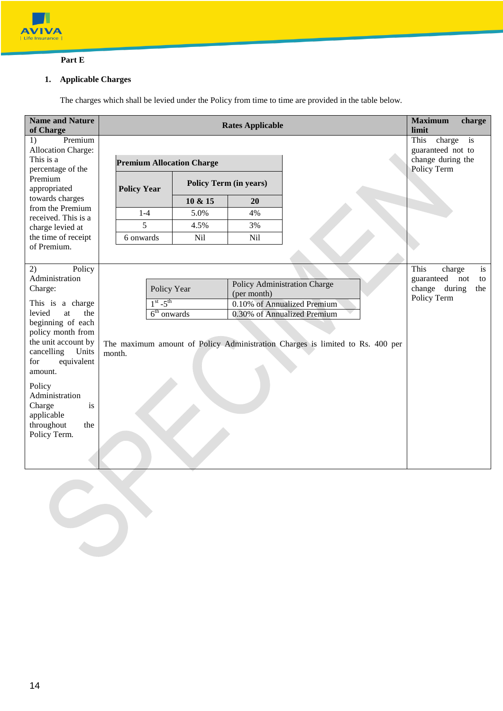

## **Part E**

# **1. Applicable Charges**

The charges which shall be levied under the Policy from time to time are provided in the table below.

| <b>Name and Nature</b><br>of Charge        |                                  |               |         | <b>Rates Applicable</b>       |                                                                               | <b>Maximum</b><br>limit             | charge |
|--------------------------------------------|----------------------------------|---------------|---------|-------------------------------|-------------------------------------------------------------------------------|-------------------------------------|--------|
| Premium<br>1)<br><b>Allocation Charge:</b> |                                  |               |         |                               |                                                                               | This<br>charge<br>guaranteed not to | is     |
| This is a<br>percentage of the             | <b>Premium Allocation Charge</b> |               |         |                               |                                                                               | change during the<br>Policy Term    |        |
| Premium<br>appropriated                    | <b>Policy Year</b>               |               |         | <b>Policy Term (in years)</b> |                                                                               |                                     |        |
| towards charges<br>from the Premium        |                                  |               | 10 & 15 | 20                            |                                                                               |                                     |        |
| received. This is a                        |                                  | $1-4$         | 5.0%    | 4%                            |                                                                               |                                     |        |
| charge levied at                           |                                  | 5             | 4.5%    | 3%                            |                                                                               |                                     |        |
| the time of receipt<br>of Premium.         | 6 onwards                        |               | Nil     | Nil                           |                                                                               |                                     |        |
|                                            |                                  |               |         |                               |                                                                               |                                     |        |
| 2)<br>Policy<br>Administration             |                                  |               |         |                               |                                                                               | This<br>charge                      | is     |
| Charge:                                    | Policy Year                      |               |         | Policy Administration Charge  | guaranteed<br>change during                                                   | not<br>to<br>the                    |        |
| This is a charge                           |                                  | $1st - 5th$   |         | (per month)                   | 0.10% of Annualized Premium                                                   | Policy Term                         |        |
| levied<br>the<br>at                        |                                  | $6th$ onwards |         |                               | 0.30% of Annualized Premium                                                   |                                     |        |
| beginning of each                          |                                  |               |         |                               |                                                                               |                                     |        |
| policy month from<br>the unit account by   |                                  |               |         |                               | The maximum amount of Policy Administration Charges is limited to Rs. 400 per |                                     |        |
| cancelling<br>Units                        | month.                           |               |         |                               |                                                                               |                                     |        |
| equivalent<br>for                          |                                  |               |         |                               |                                                                               |                                     |        |
| amount.                                    |                                  |               |         |                               |                                                                               |                                     |        |
| Policy<br>Administration                   |                                  |               |         |                               |                                                                               |                                     |        |
| Charge<br>is                               |                                  |               |         |                               |                                                                               |                                     |        |
| applicable                                 |                                  |               |         |                               |                                                                               |                                     |        |
| throughout<br>the                          |                                  |               |         |                               |                                                                               |                                     |        |
| Policy Term.                               |                                  |               |         |                               |                                                                               |                                     |        |
|                                            |                                  |               |         |                               |                                                                               |                                     |        |
|                                            |                                  |               |         |                               |                                                                               |                                     |        |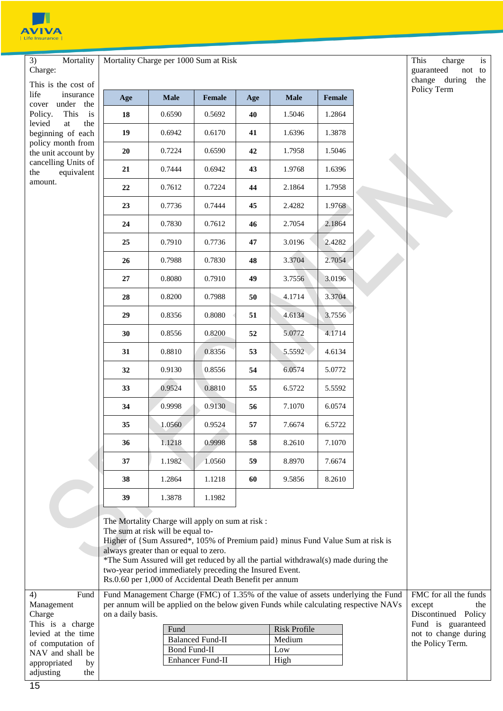

3) Mortality Charge: This is the cost life insuran cover under t Policy. This levied at t beginning of ea policy month fro the unit account cancelling Units the equivalent amount. Mortality Charge per 1000 Sum at Risk

| This is the cost of                                       |     |                                                                                                                                                                                                                                                      |        |     |             |                                                                                                                                                                      |
|-----------------------------------------------------------|-----|------------------------------------------------------------------------------------------------------------------------------------------------------------------------------------------------------------------------------------------------------|--------|-----|-------------|----------------------------------------------------------------------------------------------------------------------------------------------------------------------|
| life<br>insurance<br>under<br>the<br>cover                | Age | <b>Male</b>                                                                                                                                                                                                                                          | Female | Age | <b>Male</b> | Female                                                                                                                                                               |
| Policy.<br>This<br>is                                     | 18  | 0.6590                                                                                                                                                                                                                                               | 0.5692 | 40  | 1.5046      | 1.2864                                                                                                                                                               |
| levied<br>$\operatorname{at}$<br>the<br>beginning of each | 19  | 0.6942                                                                                                                                                                                                                                               | 0.6170 | 41  | 1.6396      | 1.3878                                                                                                                                                               |
| policy month from<br>the unit account by                  | 20  | 0.7224                                                                                                                                                                                                                                               | 0.6590 | 42  | 1.7958      | 1.5046                                                                                                                                                               |
| cancelling Units of<br>equivalent<br>the                  | 21  | 0.7444                                                                                                                                                                                                                                               | 0.6942 | 43  | 1.9768      | 1.6396                                                                                                                                                               |
| amount.                                                   | 22  | 0.7612                                                                                                                                                                                                                                               | 0.7224 | 44  | 2.1864      | 1.7958                                                                                                                                                               |
|                                                           | 23  | 0.7736                                                                                                                                                                                                                                               | 0.7444 | 45  | 2.4282      | 1.9768                                                                                                                                                               |
|                                                           | 24  | 0.7830                                                                                                                                                                                                                                               | 0.7612 | 46  | 2.7054      | 2.1864                                                                                                                                                               |
|                                                           | 25  | 0.7910                                                                                                                                                                                                                                               | 0.7736 | 47  | 3.0196      | 2.4282                                                                                                                                                               |
|                                                           | 26  | 0.7988                                                                                                                                                                                                                                               | 0.7830 | 48  | 3.3704      | 2.7054                                                                                                                                                               |
|                                                           | 27  | 0.8080                                                                                                                                                                                                                                               | 0.7910 | 49  | 3.7556      | 3.0196                                                                                                                                                               |
|                                                           | 28  | 0.8200                                                                                                                                                                                                                                               | 0.7988 | 50  | 4.1714      | 3.3704                                                                                                                                                               |
|                                                           | 29  | 0.8356                                                                                                                                                                                                                                               | 0.8080 | 51  | 4.6134      | 3.7556                                                                                                                                                               |
|                                                           | 30  | 0.8556                                                                                                                                                                                                                                               | 0.8200 | 52  | 5.0772      | 4.1714                                                                                                                                                               |
|                                                           | 31  | 0.8810                                                                                                                                                                                                                                               | 0.8356 | 53  | 5.5592      | 4.6134                                                                                                                                                               |
|                                                           | 32  | 0.9130                                                                                                                                                                                                                                               | 0.8556 | 54  | 6.0574      | 5.0772                                                                                                                                                               |
|                                                           | 33  | 0.9524                                                                                                                                                                                                                                               | 0.8810 | 55  | 6.5722      | 5.5592                                                                                                                                                               |
|                                                           | 34  | 0.9998                                                                                                                                                                                                                                               | 0.9130 | 56  | 7.1070      | 6.0574                                                                                                                                                               |
|                                                           | 35  | 1.0560                                                                                                                                                                                                                                               | 0.9524 | 57  | 7.6674      | 6.5722                                                                                                                                                               |
|                                                           | 36  | 1.1218                                                                                                                                                                                                                                               | 0.9998 | 58  | 8.2610      | 7.1070                                                                                                                                                               |
|                                                           | 37  | 1.1982                                                                                                                                                                                                                                               | 1.0560 | 59  | 8.8970      | 7.6674                                                                                                                                                               |
|                                                           | 38  | 1.2864                                                                                                                                                                                                                                               | 1.1218 | 60  | 9.5856      | 8.2610                                                                                                                                                               |
|                                                           | 39  | 1.3878                                                                                                                                                                                                                                               | 1.1982 |     |             |                                                                                                                                                                      |
|                                                           |     | The Mortality Charge will apply on sum at risk:<br>The sum at risk will be equal to-<br>always greater than or equal to zero.<br>two-year period immediately preceding the Insured Event.<br>Rs.0.60 per 1,000 of Accidental Death Benefit per annum |        |     |             | Higher of {Sum Assured*, 105% of Premium paid} minus Fund Value Sum at risk is<br>*The Sum Assured will get reduced by all the partial withdrawal(s) made during the |
| Fund<br>4)                                                |     |                                                                                                                                                                                                                                                      |        |     |             | Fund Management Charge (FMC) of 1.35% of the value of assets underlying the Fund                                                                                     |

per annum will be applied on the below given Funds while calculating respective NAVs

Fund Risk Profile Balanced Fund-II Medium Bond Fund-II Low Enhancer Fund-II High

This charge is guaranteed not to change during the Policy Term

FMC for all the funds except the Discontinued Policy Fund is guaranteed not to change during the Policy Term.

Management Charge

This is a charge levied at the time of computation of NAV and shall be appropriated by adjusting the on a daily basis.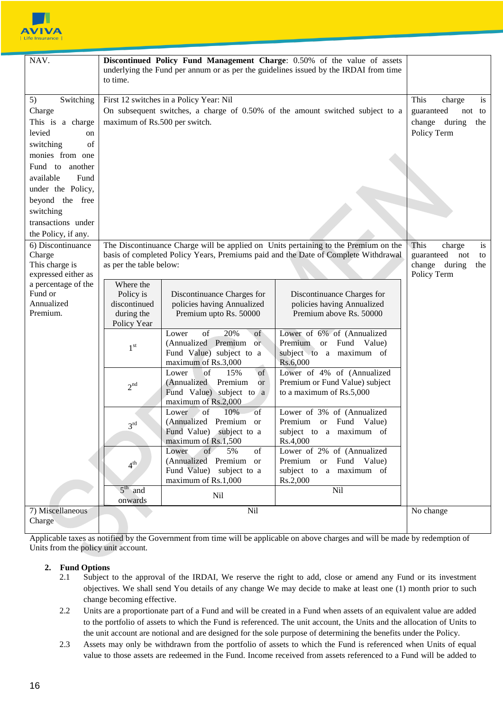

| NAV.                                                                                                                                                                                                                   | Discontinued Policy Fund Management Charge: 0.50% of the value of assets<br>underlying the Fund per annum or as per the guidelines issued by the IRDAI from time<br>to time.                                                |                                                                                                                 |                                                                                                             |                                                                                        |
|------------------------------------------------------------------------------------------------------------------------------------------------------------------------------------------------------------------------|-----------------------------------------------------------------------------------------------------------------------------------------------------------------------------------------------------------------------------|-----------------------------------------------------------------------------------------------------------------|-------------------------------------------------------------------------------------------------------------|----------------------------------------------------------------------------------------|
| Switching<br>5)<br>Charge<br>This is a charge<br>levied<br>on<br>of<br>switching<br>monies from one<br>Fund to another<br>available<br>Fund<br>under the Policy,<br>beyond the free<br>switching<br>transactions under | maximum of Rs.500 per switch.                                                                                                                                                                                               | First 12 switches in a Policy Year: Nil                                                                         | On subsequent switches, a charge of 0.50% of the amount switched subject to a                               | This<br>charge<br>is<br>guaranteed<br>not to<br>change<br>during<br>the<br>Policy Term |
| 6) Discontinuance<br>Charge<br>This charge is<br>expressed either as                                                                                                                                                   | the Policy, if any.<br>The Discontinuance Charge will be applied on Units pertaining to the Premium on the<br>basis of completed Policy Years, Premiums paid and the Date of Complete Withdrawal<br>as per the table below: |                                                                                                                 |                                                                                                             | This<br>charge<br>is<br>guaranteed<br>not<br>to<br>change during<br>the<br>Policy Term |
| a percentage of the<br>Fund or<br>Annualized<br>Premium.                                                                                                                                                               | Where the<br>Policy is<br>discontinued<br>during the<br>Policy Year                                                                                                                                                         | Discontinuance Charges for<br>policies having Annualized<br>Premium upto Rs. 50000                              | Discontinuance Charges for<br>policies having Annualized<br>Premium above Rs. 50000                         |                                                                                        |
|                                                                                                                                                                                                                        | 1 <sup>st</sup>                                                                                                                                                                                                             | of<br>20%<br>of<br>Lower<br>(Annualized Premium or<br>Fund Value) subject to a<br>maximum of Rs.3,000           | Lower of 6% of (Annualized<br>Premium<br>Fund<br><b>or</b><br>Value)<br>subject to a maximum of<br>Rs.6,000 |                                                                                        |
|                                                                                                                                                                                                                        | 2 <sup>nd</sup>                                                                                                                                                                                                             | of<br>15%<br>of<br>Lower<br>(Annualized Premium<br><b>or</b><br>Fund Value) subject to a<br>maximum of Rs.2,000 | Lower of 4% of (Annualized<br>Premium or Fund Value) subject<br>to a maximum of Rs.5,000                    |                                                                                        |
|                                                                                                                                                                                                                        | $2^{\text{rd}}$                                                                                                                                                                                                             | of<br>10%<br>of<br>Lower<br>(Annualized Premium<br><b>or</b><br>Fund Value) subject to a<br>maximum of Rs.1,500 | Lower of 3% of (Annualized<br>Premium or Fund<br>Value)<br>subject to a maximum of<br>Rs.4,000              |                                                                                        |
|                                                                                                                                                                                                                        | 4 <sup>th</sup>                                                                                                                                                                                                             | Lower<br>of<br>5%<br>of<br>(Annualized Premium or<br>Fund Value) subject to a<br>maximum of Rs.1,000            | Lower of 2% of (Annualized<br>Premium or Fund Value)<br>subject to a maximum of<br>Rs.2,000                 |                                                                                        |
|                                                                                                                                                                                                                        | $5th$ and<br>Nil<br>Nil<br>onwards                                                                                                                                                                                          |                                                                                                                 |                                                                                                             |                                                                                        |
| 7) Miscellaneous<br>Charge                                                                                                                                                                                             |                                                                                                                                                                                                                             | Nil                                                                                                             |                                                                                                             | No change                                                                              |

Applicable taxes as notified by the Government from time will be applicable on above charges and will be made by redemption of Units from the policy unit account.

## **2. Fund Options**

- 2.1 Subject to the approval of the IRDAI, We reserve the right to add, close or amend any Fund or its investment objectives. We shall send You details of any change We may decide to make at least one (1) month prior to such change becoming effective.
- 2.2 Units are a proportionate part of a Fund and will be created in a Fund when assets of an equivalent value are added to the portfolio of assets to which the Fund is referenced. The unit account, the Units and the allocation of Units to the unit account are notional and are designed for the sole purpose of determining the benefits under the Policy.
- 2.3 Assets may only be withdrawn from the portfolio of assets to which the Fund is referenced when Units of equal value to those assets are redeemed in the Fund. Income received from assets referenced to a Fund will be added to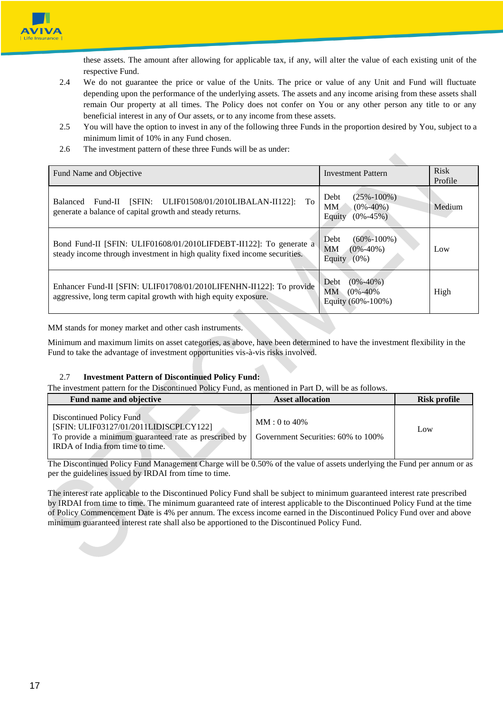

these assets. The amount after allowing for applicable tax, if any, will alter the value of each existing unit of the respective Fund.

- 2.4 We do not guarantee the price or value of the Units. The price or value of any Unit and Fund will fluctuate depending upon the performance of the underlying assets. The assets and any income arising from these assets shall remain Our property at all times. The Policy does not confer on You or any other person any title to or any beneficial interest in any of Our assets, or to any income from these assets.
- 2.5 You will have the option to invest in any of the following three Funds in the proportion desired by You, subject to a minimum limit of 10% in any Fund chosen.

2.6 The investment pattern of these three Funds will be as under:

| Fund Name and Objective                                                                                                                         | <b>Investment Pattern</b>                                                    | <b>Risk</b><br>Profile |
|-------------------------------------------------------------------------------------------------------------------------------------------------|------------------------------------------------------------------------------|------------------------|
| Fund-II [SFIN: ULIF01508/01/2010LIBALAN-II122]:<br>To<br><b>Balanced</b><br>generate a balance of capital growth and steady returns.            | $(25\% - 100\%)$<br>Debt<br>$(0\% - 40\%)$<br>MM<br>$(0\% - 45\%)$<br>Equity | Medium                 |
| Bond Fund-II [SFIN: ULIF01608/01/2010LIFDEBT-II122]: To generate a<br>steady income through investment in high quality fixed income securities. | Debt<br>$(60\% - 100\%)$<br><b>MM</b><br>$(0\% - 40\%)$<br>$(0\%)$<br>Equity | Low                    |
| Enhancer Fund-II [SFIN: ULIF01708/01/2010LIFENHN-II122]: To provide<br>aggressive, long term capital growth with high equity exposure.          | $(0\% - 40\%)$<br>Debt<br>МM<br>$(0\% - 40\%$<br>Equity (60%-100%)           | High                   |

MM stands for money market and other cash instruments.

Minimum and maximum limits on asset categories, as above, have been determined to have the investment flexibility in the Fund to take the advantage of investment opportunities vis-à-vis risks involved.

### 2.7 **Investment Pattern of Discontinued Policy Fund:**

The investment pattern for the Discontinued Policy Fund, as mentioned in Part D, will be as follows.

| Fund name and objective                                                                                                                                         | <b>Asset allocation</b>                             | Risk profile |
|-----------------------------------------------------------------------------------------------------------------------------------------------------------------|-----------------------------------------------------|--------------|
| Discontinued Policy Fund<br>[SFIN: ULIF03127/01/2011LIDISCPLCY122]<br>To provide a minimum guaranteed rate as prescribed by<br>IRDA of India from time to time. | $MM:0$ to 40%<br>Government Securities: 60% to 100% | Low          |

The Discontinued Policy Fund Management Charge will be 0.50% of the value of assets underlying the Fund per annum or as per the guidelines issued by IRDAI from time to time.

The interest rate applicable to the Discontinued Policy Fund shall be subject to minimum guaranteed interest rate prescribed by IRDAI from time to time. The minimum guaranteed rate of interest applicable to the Discontinued Policy Fund at the time of Policy Commencement Date is 4% per annum. The excess income earned in the Discontinued Policy Fund over and above minimum guaranteed interest rate shall also be apportioned to the Discontinued Policy Fund.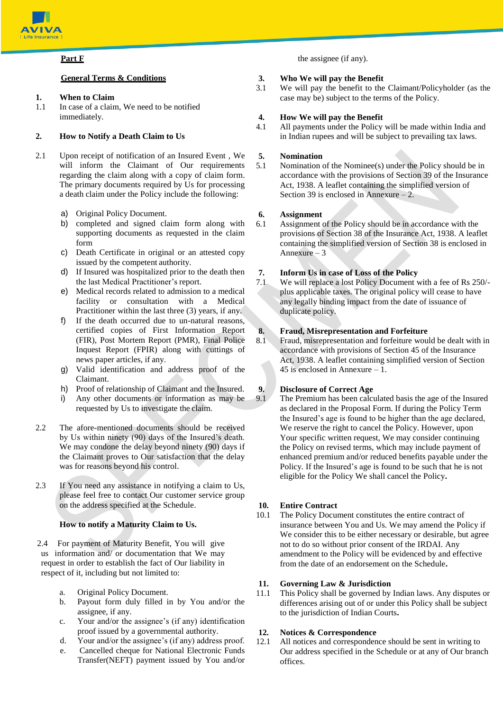

### **Part F**

### **General Terms & Conditions**

### **1. When to Claim**

1.1 In case of a claim, We need to be notified immediately.

## **2. How to Notify a Death Claim to Us**

- 2.1 Upon receipt of notification of an Insured Event , We will inform the Claimant of Our requirements regarding the claim along with a copy of claim form. The primary documents required by Us for processing a death claim under the Policy include the following:
	- a) Original Policy Document.
	- b) completed and signed claim form along with supporting documents as requested in the claim form
	- c) Death Certificate in original or an attested copy issued by the competent authority.
	- d) If Insured was hospitalized prior to the death then the last Medical Practitioner's report.
	- e) Medical records related to admission to a medical facility or consultation with a Medical Practitioner within the last three (3) years, if any.
	- f) If the death occurred due to un-natural reasons, certified copies of First Information Report (FIR), Post Mortem Report (PMR), Final Police Inquest Report (FPIR) along with cuttings of news paper articles, if any.
	- g) Valid identification and address proof of the Claimant.
	- h) Proof of relationship of Claimant and the Insured.
	- i) Any other documents or information as may be requested by Us to investigate the claim.
- 2.2 The afore-mentioned documents should be received by Us within ninety (90) days of the Insured's death. We may condone the delay beyond ninety (90) days if the Claimant proves to Our satisfaction that the delay was for reasons beyond his control.
- 2.3 If You need any assistance in notifying a claim to Us, please feel free to contact Our customer service group on the address specified at the Schedule.

### **How to notify a Maturity Claim to Us.**

2.4 For payment of Maturity Benefit, You will give us information and/ or documentation that We may request in order to establish the fact of Our liability in respect of it, including but not limited to:

- a. Original Policy Document.
- b. Payout form duly filled in by You and/or the assignee, if any.
- c. Your and/or the assignee's (if any) identification proof issued by a governmental authority.
- d. Your and/or the assignee's (if any) address proof.
- e. Cancelled cheque for National Electronic Funds Transfer(NEFT) payment issued by You and/or

the assignee (if any).

## **3. Who We will pay the Benefit**

3.1 We will pay the benefit to the Claimant/Policyholder (as the case may be) subject to the terms of the Policy.

## **4. How We will pay the Benefit**

4.1 All payments under the Policy will be made within India and in Indian rupees and will be subject to prevailing tax laws.

## **5. Nomination**

5.1 Nomination of the Nominee(s) under the Policy should be in accordance with the provisions of Section 39 of the Insurance Act, 1938. A leaflet containing the simplified version of Section 39 is enclosed in Annexure – 2.

## **6. Assignment**

6.1 Assignment of the Policy should be in accordance with the provisions of Section 38 of the Insurance Act, 1938. A leaflet containing the simplified version of Section 38 is enclosed in Annexure – 3

## **7. Inform Us in case of Loss of the Policy**

7.1 We will replace a lost Policy Document with a fee of Rs 250/ plus applicable taxes. The original policy will cease to have any legally binding impact from the date of issuance of duplicate policy.

## **8. Fraud, Misrepresentation and Forfeiture**

8.1 Fraud, misrepresentation and forfeiture would be dealt with in accordance with provisions of Section 45 of the Insurance Act, 1938. A leaflet containing simplified version of Section 45 is enclosed in Annexure – 1.

## **9. Disclosure of Correct Age**

9.1 The Premium has been calculated basis the age of the Insured as declared in the Proposal Form. If during the Policy Term the Insured's age is found to be higher than the age declared, We reserve the right to cancel the Policy. However, upon Your specific written request, We may consider continuing the Policy on revised terms, which may include payment of enhanced premium and/or reduced benefits payable under the Policy. If the Insured's age is found to be such that he is not eligible for the Policy We shall cancel the Policy**.**

## **10. Entire Contract**

10.1 The Policy Document constitutes the entire contract of insurance between You and Us. We may amend the Policy if We consider this to be either necessary or desirable, but agree not to do so without prior consent of the IRDAI. Any amendment to the Policy will be evidenced by and effective from the date of an endorsement on the Schedule**.**

## **11. Governing Law & Jurisdiction**

11.1 This Policy shall be governed by Indian laws. Any disputes or differences arising out of or under this Policy shall be subject to the jurisdiction of Indian Courts**.**

## **12. Notices & Correspondence**

12.1 All notices and correspondence should be sent in writing to Our address specified in the Schedule or at any of Our branch offices.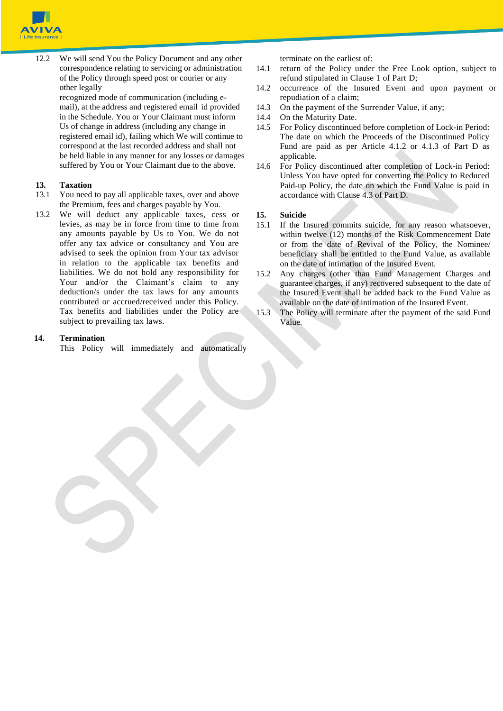

12.2 We will send You the Policy Document and any other correspondence relating to servicing or administration of the Policy through speed post or courier or any other legally

recognized mode of communication (including email), at the address and registered email id provided in the Schedule. You or Your Claimant must inform Us of change in address (including any change in registered email id), failing which We will continue to correspond at the last recorded address and shall not be held liable in any manner for any losses or damages suffered by You or Your Claimant due to the above.

### **13. Taxation**

- 13.1 You need to pay all applicable taxes, over and above the Premium, fees and charges payable by You.
- 13.2 We will deduct any applicable taxes, cess or levies, as may be in force from time to time from any amounts payable by Us to You. We do not offer any tax advice or consultancy and You are advised to seek the opinion from Your tax advisor in relation to the applicable tax benefits and liabilities. We do not hold any responsibility for Your and/or the Claimant's claim to any deduction/s under the tax laws for any amounts contributed or accrued/received under this Policy. Tax benefits and liabilities under the Policy are subject to prevailing tax laws.

## **14. Termination**

This Policy will immediately and automatically

terminate on the earliest of:

14.1 return of the Policy under the Free Look option, subject to refund stipulated in Clause 1 of Part D;

- 14.2 occurrence of the Insured Event and upon payment or repudiation of a claim;
- 14.3 On the payment of the Surrender Value, if any;
- 14.4 On the Maturity Date.
- 14.5 For Policy discontinued before completion of Lock-in Period: The date on which the Proceeds of the Discontinued Policy Fund are paid as per Article 4.1.2 or 4.1.3 of Part D as applicable.
- 14.6 For Policy discontinued after completion of Lock-in Period: Unless You have opted for converting the Policy to Reduced Paid-up Policy, the date on which the Fund Value is paid in accordance with Clause 4.3 of Part D.

#### **15. Suicide**

- 15.1 If the Insured commits suicide, for any reason whatsoever, within twelve (12) months of the Risk Commencement Date or from the date of Revival of the Policy, the Nominee/ beneficiary shall be entitled to the Fund Value, as available on the date of intimation of the Insured Event.
- 15.2 Any charges (other than Fund Management Charges and guarantee charges, if any) recovered subsequent to the date of the Insured Event shall be added back to the Fund Value as available on the date of intimation of the Insured Event.
- 15.3 The Policy will terminate after the payment of the said Fund Value.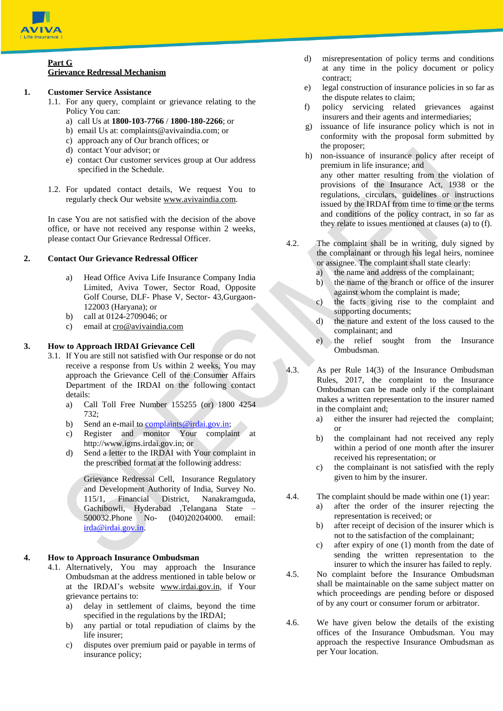

#### **Part G Grievance Redressal Mechanism**

## **1. Customer Service Assistance**

- 1.1. For any query, complaint or grievance relating to the Policy You can:
	- a) call Us at **1800-103-7766** / **1800-180-2266**; or
	- b) email Us at: [complaints@avivaindia.com;](mailto:complaints@avivaindia.com) or
	- c) approach any of Our branch offices; or
	- d) contact Your advisor; or
	- e) contact Our customer services group at Our address specified in the Schedule.
- 1.2. For updated contact details, We request You to regularly check Our website [www.avivaindia.com.](http://www.avivaindia.com/)

In case You are not satisfied with the decision of the above office, or have not received any response within 2 weeks, please contact Our Grievance Redressal Officer.

## **2. Contact Our Grievance Redressal Officer**

- a) Head Office Aviva Life Insurance Company India Limited, Aviva Tower, Sector Road, Opposite Golf Course, DLF- Phase V, Sector- 43,Gurgaon-122003 (Haryana); or
- b) call at 0124-2709046; or
- c) email a[t cro@avivaindia.com](mailto:cro@avivaindia.com)

## **3. How to Approach IRDAI Grievance Cell**

- 3.1. If You are still not satisfied with Our response or do not receive a response from Us within 2 weeks, You may approach the Grievance Cell of the Consumer Affairs Department of the IRDAI on the following contact details:
	- a) Call Toll Free Number 155255 (or) 1800 4254 732;
	- b) Send an e-mail to complaints  $@$  irdai.gov.in;
	- c) Register and monitor Your complaint at http://www[.igms.irdai.gov.in;](http://igms.irda.gov.in/) or
	- d) Send a letter to the IRDAI with Your complaint in the prescribed format at the following address:

Grievance Redressal Cell, Insurance Regulatory and Development Authority of India, Survey No. 115/1, Financial District, Nanakramguda, Gachibowli, Hyderabad ,Telangana State – 500032.Phone No- (040)20204000. email: [irda@irdai.gov.in.](mailto:irda@irdai.gov.in)

## **4. How to Approach Insurance Ombudsman**

- 4.1. Alternatively, You may approach the Insurance Ombudsman at the address mentioned in table below or at the IRDAI's website www.irdai.gov.in, if Your grievance pertains to:
	- a) delay in settlement of claims, beyond the time specified in the regulations by the IRDAI;
	- b) any partial or total repudiation of claims by the life insurer;
	- c) disputes over premium paid or payable in terms of insurance policy;
- d) misrepresentation of policy terms and conditions at any time in the policy document or policy contract;
- e) legal construction of insurance policies in so far as the dispute relates to claim;
- f) policy servicing related grievances against insurers and their agents and intermediaries;
- g) issuance of life insurance policy which is not in conformity with the proposal form submitted by the proposer;
- h) non-issuance of insurance policy after receipt of premium in life insurance; and any other matter resulting from the violation of provisions of the Insurance Act, 1938 or the regulations, circulars, guidelines or instructions issued by the IRDAI from time to time or the terms and conditions of the policy contract, in so far as they relate to issues mentioned at clauses (a) to (f).
- 4.2. The complaint shall be in writing, duly signed by the complainant or through his legal heirs, nominee or assignee. The complaint shall state clearly:
	- a) the name and address of the complainant;
	- b) the name of the branch or office of the insurer against whom the complaint is made;
	- c) the facts giving rise to the complaint and supporting documents;
	- d) the nature and extent of the loss caused to the complainant; and
	- e) the relief sought from the Insurance Ombudsman.
- 4.3. As per Rule 14(3) of the Insurance Ombudsman Rules, 2017, the complaint to the Insurance Ombudsman can be made only if the complainant makes a written representation to the insurer named in the complaint and;
	- a) either the insurer had rejected the complaint; or
	- b) the complainant had not received any reply within a period of one month after the insurer received his representation; or
	- c) the complainant is not satisfied with the reply given to him by the insurer.
- 4.4. The complaint should be made within one (1) year:
	- a) after the order of the insurer rejecting the representation is received; or
	- b) after receipt of decision of the insurer which is not to the satisfaction of the complainant;
	- c) after expiry of one (1) month from the date of sending the written representation to the insurer to which the insurer has failed to reply.
- 4.5. No complaint before the Insurance Ombudsman shall be maintainable on the same subject matter on which proceedings are pending before or disposed of by any court or consumer forum or arbitrator.
- 4.6. We have given below the details of the existing offices of the Insurance Ombudsman. You may approach the respective Insurance Ombudsman as per Your location.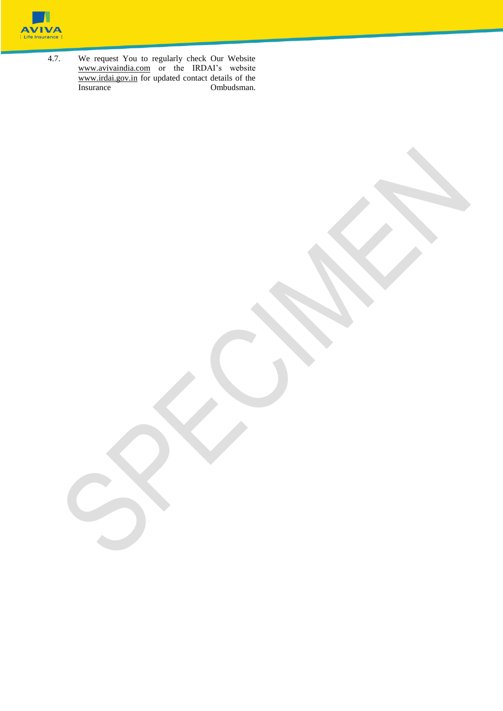

4.7. We request You to regularly check Our Website [www.avivaindia.com](http://www.avivaindia.com/) or the IRDAI's website [www.irdai.gov.in](http://www.irdai.gov.in/) for updated contact details of the Insurance Ombudsman.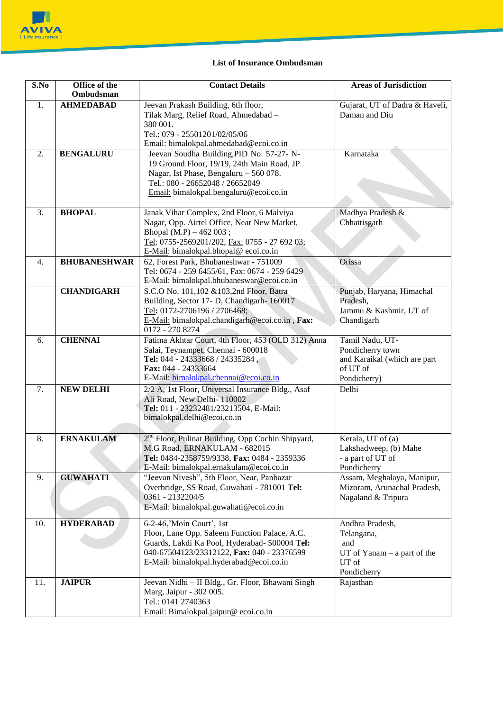

# **List of Insurance Ombudsman**

| S.No             | Office of the<br>Ombudsman | <b>Contact Details</b>                                        | <b>Areas of Jurisdiction</b>    |  |  |
|------------------|----------------------------|---------------------------------------------------------------|---------------------------------|--|--|
| 1.               | <b>AHMEDABAD</b>           | Jeevan Prakash Building, 6th floor,                           | Gujarat, UT of Dadra & Haveli,  |  |  |
|                  |                            | Tilak Marg, Relief Road, Ahmedabad -                          | Daman and Diu                   |  |  |
|                  |                            | 380 001.                                                      |                                 |  |  |
|                  |                            | Tel.: 079 - 25501201/02/05/06                                 |                                 |  |  |
|                  |                            | Email: bimalokpal.ahmedabad@ecoi.co.in                        |                                 |  |  |
| 2.               | <b>BENGALURU</b>           | Jeevan Soudha Building, PID No. 57-27- N-                     | Karnataka                       |  |  |
|                  |                            | 19 Ground Floor, 19/19, 24th Main Road, JP                    |                                 |  |  |
|                  |                            | Nagar, Ist Phase, Bengaluru - 560 078.                        |                                 |  |  |
|                  |                            | Tel.: 080 - 26652048 / 26652049                               |                                 |  |  |
|                  |                            | Email: bimalokpal.bengaluru@ecoi.co.in                        |                                 |  |  |
|                  |                            |                                                               |                                 |  |  |
| 3.               | <b>BHOPAL</b>              | Janak Vihar Complex, 2nd Floor, 6 Malviya                     | Madhya Pradesh &                |  |  |
|                  |                            | Nagar, Opp. Airtel Office, Near New Market,                   | Chhattisgarh                    |  |  |
|                  |                            | Bhopal (M.P) - 462 003;                                       |                                 |  |  |
|                  |                            | Tel: 0755-2569201/202, Fax: 0755 - 27 692 03;                 |                                 |  |  |
|                  |                            | E-Mail: bimalokpal.bhopal@ecoi.co.in                          |                                 |  |  |
| $\overline{4}$ . | <b>BHUBANESHWAR</b>        | 62, Forest Park, Bhubaneshwar - 751009                        | Orissa                          |  |  |
|                  |                            | Tel: 0674 - 259 6455/61, Fax: 0674 - 259 6429                 |                                 |  |  |
|                  |                            | E-Mail: bimalokpal.bhubaneswar@ecoi.co.in                     |                                 |  |  |
|                  | <b>CHANDIGARH</b>          | S.C.O No. 101,102 & 103,2nd Floor, Batra                      | Punjab, Haryana, Himachal       |  |  |
|                  |                            | Building, Sector 17- D, Chandigarh- 160017                    | Pradesh,                        |  |  |
|                  |                            | Tel: 0172-2706196 / 2706468;                                  | Jammu & Kashmir, UT of          |  |  |
|                  |                            | E-Mail: bimalokpal.chandigarh@ecoi.co.in, Fax:                | Chandigarh                      |  |  |
|                  |                            | 0172 - 270 8274                                               |                                 |  |  |
| 6.               | <b>CHENNAI</b>             | Fatima Akhtar Court, 4th Floor, 453 (OLD 312) Anna            | Tamil Nadu, UT-                 |  |  |
|                  |                            | Salai, Teynampet, Chennai - 600018                            | Pondicherry town                |  |  |
|                  |                            | Tel: 044 - 24333668 / 24335284,                               | and Karaikal (which are part    |  |  |
|                  |                            | Fax: 044 - 24333664                                           | of UT of                        |  |  |
|                  |                            | E-Mail: bimalokpal.chennai@ecoi.co.in                         | Pondicherry)                    |  |  |
| 7.               | <b>NEW DELHI</b>           | 2/2 A, 1st Floor, Universal Insurance Bldg., Asaf             | Delhi                           |  |  |
|                  |                            | Ali Road, New Delhi-110002                                    |                                 |  |  |
|                  |                            | Tel: 011 - 23232481/23213504, E-Mail:                         |                                 |  |  |
|                  |                            | bimalokpal.delhi@ecoi.co.in                                   |                                 |  |  |
|                  |                            |                                                               |                                 |  |  |
| 8.               | <b>ERNAKULAM</b>           | 2 <sup>nd</sup> Floor, Pulinat Building, Opp Cochin Shipyard, | Kerala, UT of (a)               |  |  |
|                  |                            | M.G Road, ERNAKULAM - 682015                                  | Lakshadweep, (b) Mahe           |  |  |
|                  |                            | Tel: 0484-2358759/9338, Fax: 0484 - 2359336                   | - a part of UT of               |  |  |
|                  |                            | E-Mail: bimalokpal.ernakulam@ecoi.co.in                       | Pondicherry                     |  |  |
| 9.               | <b>GUWAHATI</b>            | "Jeevan Nivesh", 5th Floor, Near, Panbazar                    | Assam, Meghalaya, Manipur,      |  |  |
|                  |                            | Overbridge, SS Road, Guwahati - 781001 Tel:                   | Mizoram, Arunachal Pradesh,     |  |  |
|                  |                            | 0361 - 2132204/5                                              | Nagaland & Tripura              |  |  |
|                  |                            | E-Mail: bimalokpal.guwahati@ecoi.co.in                        |                                 |  |  |
| 10.              | <b>HYDERABAD</b>           | 6-2-46, 'Moin Court', 1st                                     | Andhra Pradesh,                 |  |  |
|                  |                            | Floor, Lane Opp. Saleem Function Palace, A.C.                 | Telangana,                      |  |  |
|                  |                            | Guards, Lakdi Ka Pool, Hyderabad- 500004 Tel:                 | and                             |  |  |
|                  |                            | 040-67504123/23312122, Fax: 040 - 23376599                    | $UT$ of $Yanam - a$ part of the |  |  |
|                  |                            | E-Mail: bimalokpal.hyderabad@ecoi.co.in                       | UT of                           |  |  |
|                  |                            |                                                               | Pondicherry                     |  |  |
| 11.              | <b>JAIPUR</b>              | Jeevan Nidhi - II Bldg., Gr. Floor, Bhawani Singh             | Rajasthan                       |  |  |
|                  |                            | Marg, Jaipur - 302 005.                                       |                                 |  |  |
|                  |                            | Tel.: 0141 2740363                                            |                                 |  |  |
|                  |                            | Email: Bimalokpal.jaipur@ecoi.co.in                           |                                 |  |  |
|                  |                            |                                                               |                                 |  |  |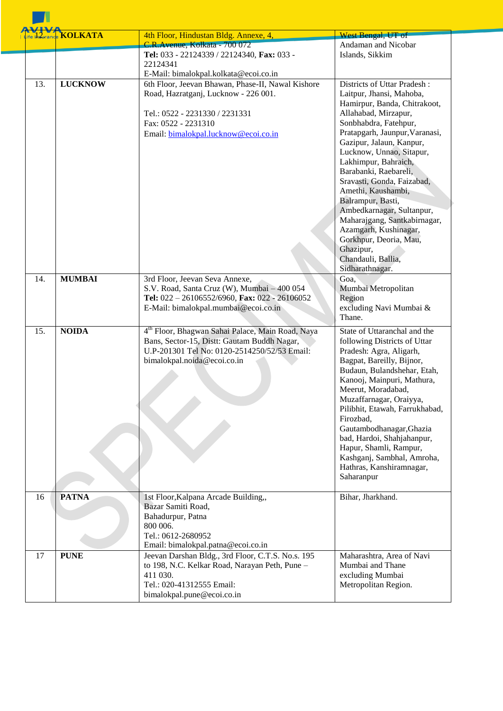|     | ife <b>harance KOLKATA</b> | 4th Floor, Hindustan Bldg. Annexe, 4,                                                                                                                                                      | West Bengal, UT of                                                                                                                                                                                                                                                                                                                                                                                                                                                                                              |
|-----|----------------------------|--------------------------------------------------------------------------------------------------------------------------------------------------------------------------------------------|-----------------------------------------------------------------------------------------------------------------------------------------------------------------------------------------------------------------------------------------------------------------------------------------------------------------------------------------------------------------------------------------------------------------------------------------------------------------------------------------------------------------|
|     |                            | C.R.Avenue, Kolkata - 700 072<br>Tel: 033 - 22124339 / 22124340, Fax: 033 -                                                                                                                | Andaman and Nicobar<br>Islands, Sikkim                                                                                                                                                                                                                                                                                                                                                                                                                                                                          |
|     |                            | 22124341                                                                                                                                                                                   |                                                                                                                                                                                                                                                                                                                                                                                                                                                                                                                 |
|     |                            | E-Mail: bimalokpal.kolkata@ecoi.co.in                                                                                                                                                      |                                                                                                                                                                                                                                                                                                                                                                                                                                                                                                                 |
| 13. | <b>LUCKNOW</b>             | 6th Floor, Jeevan Bhawan, Phase-II, Nawal Kishore<br>Road, Hazratganj, Lucknow - 226 001.<br>Tel.: 0522 - 2231330 / 2231331<br>Fax: 0522 - 2231310<br>Email: bimalokpal.lucknow@ecoi.co.in | Districts of Uttar Pradesh:<br>Laitpur, Jhansi, Mahoba,<br>Hamirpur, Banda, Chitrakoot,<br>Allahabad, Mirzapur,<br>Sonbhabdra, Fatehpur,<br>Pratapgarh, Jaunpur, Varanasi,<br>Gazipur, Jalaun, Kanpur,<br>Lucknow, Unnao, Sitapur,<br>Lakhimpur, Bahraich,<br>Barabanki, Raebareli,<br>Sravasti, Gonda, Faizabad,<br>Amethi, Kaushambi,<br>Balrampur, Basti,<br>Ambedkarnagar, Sultanpur,<br>Maharajgang, Santkabirnagar,<br>Azamgarh, Kushinagar,<br>Gorkhpur, Deoria, Mau,<br>Ghazipur,<br>Chandauli, Ballia, |
|     |                            |                                                                                                                                                                                            | Sidharathnagar.                                                                                                                                                                                                                                                                                                                                                                                                                                                                                                 |
| 14. | <b>MUMBAI</b>              | 3rd Floor, Jeevan Seva Annexe,<br>S.V. Road, Santa Cruz (W), Mumbai - 400 054<br>Tel: 022 - 26106552/6960, Fax: 022 - 26106052<br>E-Mail: bimalokpal.mumbai@ecoi.co.in                     | Goa,<br>Mumbai Metropolitan<br>Region<br>excluding Navi Mumbai &<br>Thane.                                                                                                                                                                                                                                                                                                                                                                                                                                      |
| 15. | <b>NOIDA</b>               | 4 <sup>th</sup> Floor, Bhagwan Sahai Palace, Main Road, Naya<br>Bans, Sector-15, Distt: Gautam Buddh Nagar,<br>U.P-201301 Tel No: 0120-2514250/52/53 Email:<br>bimalokpal.noida@ecoi.co.in | State of Uttaranchal and the<br>following Districts of Uttar<br>Pradesh: Agra, Aligarh,<br>Bagpat, Bareilly, Bijnor,<br>Budaun, Bulandshehar, Etah,<br>Kanooj, Mainpuri, Mathura,<br>Meerut, Moradabad,<br>Muzaffarnagar, Oraiyya,<br>Pilibhit, Etawah, Farrukhabad,<br>Firozbad,<br>Gautambodhanagar, Ghazia<br>bad, Hardoi, Shahjahanpur,<br>Hapur, Shamli, Rampur,<br>Kashganj, Sambhal, Amroha,<br>Hathras, Kanshiramnagar,<br>Saharanpur                                                                   |
| 16  | <b>PATNA</b>               | 1st Floor, Kalpana Arcade Building,,<br>Bazar Samiti Road,<br>Bahadurpur, Patna<br>800 006.                                                                                                | Bihar, Jharkhand.                                                                                                                                                                                                                                                                                                                                                                                                                                                                                               |
|     |                            | Tel.: 0612-2680952<br>Email: bimalokpal.patna@ecoi.co.in                                                                                                                                   |                                                                                                                                                                                                                                                                                                                                                                                                                                                                                                                 |
| 17  | <b>PUNE</b>                | Jeevan Darshan Bldg., 3rd Floor, C.T.S. No.s. 195<br>to 198, N.C. Kelkar Road, Narayan Peth, Pune -<br>411 030.<br>Tel.: 020-41312555 Email:<br>bimalokpal.pune@ecoi.co.in                 | Maharashtra, Area of Navi<br>Mumbai and Thane<br>excluding Mumbai<br>Metropolitan Region.                                                                                                                                                                                                                                                                                                                                                                                                                       |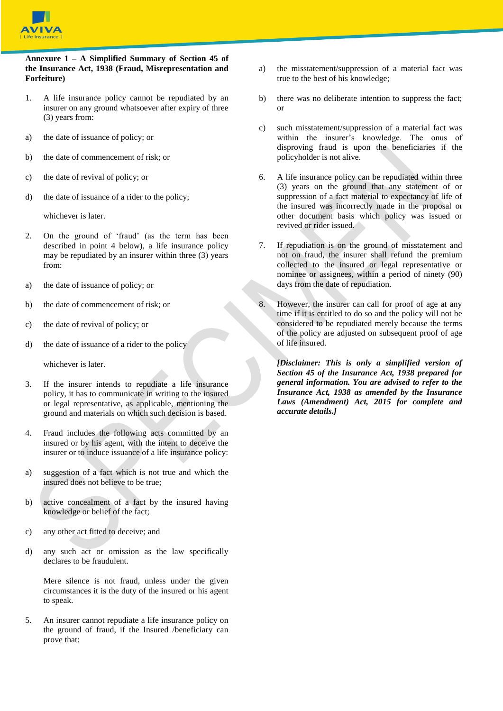

#### **Annexure 1 – A Simplified Summary of Section 45 of the Insurance Act, 1938 (Fraud, Misrepresentation and Forfeiture)**

- 1. A life insurance policy cannot be repudiated by an insurer on any ground whatsoever after expiry of three (3) years from:
- a) the date of issuance of policy; or
- b) the date of commencement of risk; or
- c) the date of revival of policy; or
- d) the date of issuance of a rider to the policy;

whichever is later.

- 2. On the ground of 'fraud' (as the term has been described in point 4 below), a life insurance policy may be repudiated by an insurer within three (3) years from:
- a) the date of issuance of policy; or
- b) the date of commencement of risk; or
- c) the date of revival of policy; or
- d) the date of issuance of a rider to the policy

whichever is later.

- 3. If the insurer intends to repudiate a life insurance policy, it has to communicate in writing to the insured or legal representative, as applicable, mentioning the ground and materials on which such decision is based.
- 4. Fraud includes the following acts committed by an insured or by his agent, with the intent to deceive the insurer or to induce issuance of a life insurance policy:
- a) suggestion of a fact which is not true and which the insured does not believe to be true;
- b) active concealment of a fact by the insured having knowledge or belief of the fact;
- c) any other act fitted to deceive; and
- d) any such act or omission as the law specifically declares to be fraudulent.

Mere silence is not fraud, unless under the given circumstances it is the duty of the insured or his agent to speak.

5. An insurer cannot repudiate a life insurance policy on the ground of fraud, if the Insured /beneficiary can prove that:

- a) the misstatement/suppression of a material fact was true to the best of his knowledge;
- b) there was no deliberate intention to suppress the fact; or
- c) such misstatement/suppression of a material fact was within the insurer's knowledge. The onus of disproving fraud is upon the beneficiaries if the policyholder is not alive.
- 6. A life insurance policy can be repudiated within three (3) years on the ground that any statement of or suppression of a fact material to expectancy of life of the insured was incorrectly made in the proposal or other document basis which policy was issued or revived or rider issued.
- 7. If repudiation is on the ground of misstatement and not on fraud, the insurer shall refund the premium collected to the insured or legal representative or nominee or assignees, within a period of ninety (90) days from the date of repudiation.
- However, the insurer can call for proof of age at any time if it is entitled to do so and the policy will not be considered to be repudiated merely because the terms of the policy are adjusted on subsequent proof of age of life insured.

*[Disclaimer: This is only a simplified version of Section 45 of the Insurance Act, 1938 prepared for general information. You are advised to refer to the Insurance Act, 1938 as amended by the Insurance Laws (Amendment) Act, 2015 for complete and accurate details.]*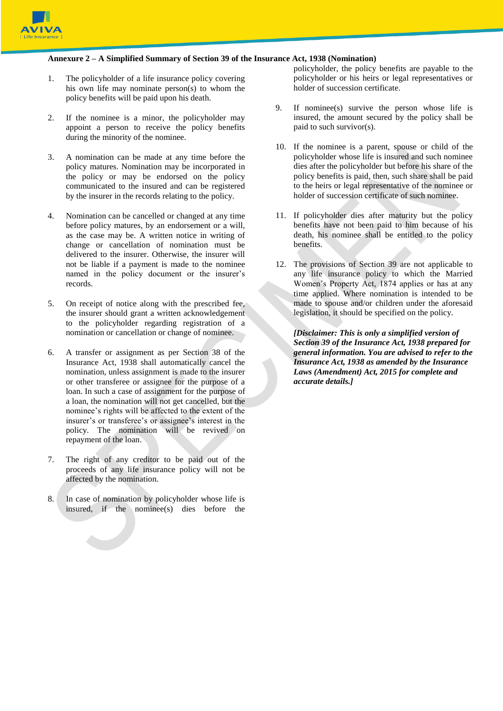

#### **Annexure 2 – A Simplified Summary of Section 39 of the Insurance Act, 1938 (Nomination)**

- 1. The policyholder of a life insurance policy covering his own life may nominate person(s) to whom the policy benefits will be paid upon his death.
- 2. If the nominee is a minor, the policyholder may appoint a person to receive the policy benefits during the minority of the nominee.
- 3. A nomination can be made at any time before the policy matures. Nomination may be incorporated in the policy or may be endorsed on the policy communicated to the insured and can be registered by the insurer in the records relating to the policy.
- 4. Nomination can be cancelled or changed at any time before policy matures, by an endorsement or a will, as the case may be. A written notice in writing of change or cancellation of nomination must be delivered to the insurer. Otherwise, the insurer will not be liable if a payment is made to the nominee named in the policy document or the insurer's records.
- 5. On receipt of notice along with the prescribed fee, the insurer should grant a written acknowledgement to the policyholder regarding registration of a nomination or cancellation or change of nominee.
- 6. A transfer or assignment as per Section 38 of the Insurance Act, 1938 shall automatically cancel the nomination, unless assignment is made to the insurer or other transferee or assignee for the purpose of a loan. In such a case of assignment for the purpose of a loan, the nomination will not get cancelled, but the nominee's rights will be affected to the extent of the insurer's or transferee's or assignee's interest in the policy. The nomination will be revived on repayment of the loan.
- 7. The right of any creditor to be paid out of the proceeds of any life insurance policy will not be affected by the nomination.
- 8. In case of nomination by policyholder whose life is insured, if the nominee(s) dies before the

policyholder, the policy benefits are payable to the policyholder or his heirs or legal representatives or holder of succession certificate.

- 9. If nominee(s) survive the person whose life is insured, the amount secured by the policy shall be paid to such survivor(s).
- 10. If the nominee is a parent, spouse or child of the policyholder whose life is insured and such nominee dies after the policyholder but before his share of the policy benefits is paid, then, such share shall be paid to the heirs or legal representative of the nominee or holder of succession certificate of such nominee.
- 11. If policyholder dies after maturity but the policy benefits have not been paid to him because of his death, his nominee shall be entitled to the policy benefits.
- 12. The provisions of Section 39 are not applicable to any life insurance policy to which the Married Women's Property Act, 1874 applies or has at any time applied. Where nomination is intended to be made to spouse and/or children under the aforesaid legislation, it should be specified on the policy.

*[Disclaimer: This is only a simplified version of Section 39 of the Insurance Act, 1938 prepared for general information. You are advised to refer to the Insurance Act, 1938 as amended by the Insurance Laws (Amendment) Act, 2015 for complete and accurate details.]*